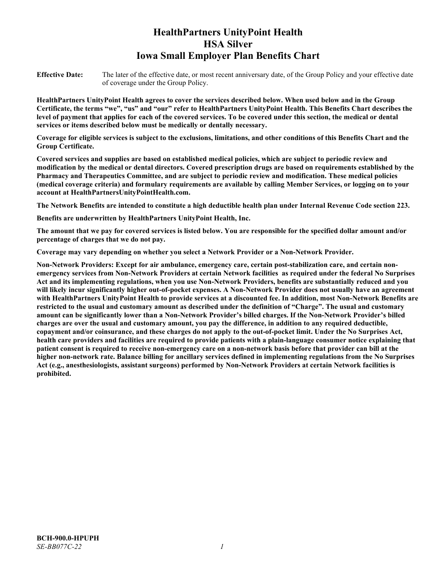# **HealthPartners UnityPoint Health HSA Silver Iowa Small Employer Plan Benefits Chart**

**Effective Date:** The later of the effective date, or most recent anniversary date, of the Group Policy and your effective date of coverage under the Group Policy.

**HealthPartners UnityPoint Health agrees to cover the services described below. When used below and in the Group Certificate, the terms "we", "us" and "our" refer to HealthPartners UnityPoint Health. This Benefits Chart describes the level of payment that applies for each of the covered services. To be covered under this section, the medical or dental services or items described below must be medically or dentally necessary.**

**Coverage for eligible services is subject to the exclusions, limitations, and other conditions of this Benefits Chart and the Group Certificate.** 

**Covered services and supplies are based on established medical policies, which are subject to periodic review and modification by the medical or dental directors. Covered prescription drugs are based on requirements established by the Pharmacy and Therapeutics Committee, and are subject to periodic review and modification. These medical policies (medical coverage criteria) and formulary requirements are available by calling Member Services, or logging on to your account at [HealthPartnersUnityPointHealth.com.](https://www.healthpartnersunitypointhealth.com/)**

**The Network Benefits are intended to constitute a high deductible health plan under Internal Revenue Code section 223.**

**Benefits are underwritten by HealthPartners UnityPoint Health, Inc.**

**The amount that we pay for covered services is listed below. You are responsible for the specified dollar amount and/or percentage of charges that we do not pay.**

**Coverage may vary depending on whether you select a Network Provider or a Non-Network Provider.**

**Non-Network Providers: Except for air ambulance, emergency care, certain post-stabilization care, and certain nonemergency services from Non-Network Providers at certain Network facilities as required under the federal No Surprises Act and its implementing regulations, when you use Non-Network Providers, benefits are substantially reduced and you will likely incur significantly higher out-of-pocket expenses. A Non-Network Provider does not usually have an agreement with HealthPartners UnityPoint Health to provide services at a discounted fee. In addition, most Non-Network Benefits are restricted to the usual and customary amount as described under the definition of "Charge". The usual and customary amount can be significantly lower than a Non-Network Provider's billed charges. If the Non-Network Provider's billed charges are over the usual and customary amount, you pay the difference, in addition to any required deductible, copayment and/or coinsurance, and these charges do not apply to the out-of-pocket limit. Under the No Surprises Act, health care providers and facilities are required to provide patients with a plain-language consumer notice explaining that patient consent is required to receive non-emergency care on a non-network basis before that provider can bill at the higher non-network rate. Balance billing for ancillary services defined in implementing regulations from the No Surprises Act (e.g., anesthesiologists, assistant surgeons) performed by Non-Network Providers at certain Network facilities is prohibited.**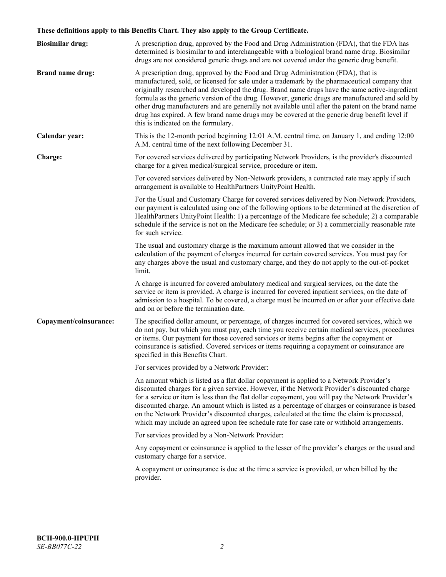# **These definitions apply to this Benefits Chart. They also apply to the Group Certificate.**

| <b>Biosimilar drug:</b> | A prescription drug, approved by the Food and Drug Administration (FDA), that the FDA has<br>determined is biosimilar to and interchangeable with a biological brand name drug. Biosimilar<br>drugs are not considered generic drugs and are not covered under the generic drug benefit.                                                                                                                                                                                                                                                                                                                                           |
|-------------------------|------------------------------------------------------------------------------------------------------------------------------------------------------------------------------------------------------------------------------------------------------------------------------------------------------------------------------------------------------------------------------------------------------------------------------------------------------------------------------------------------------------------------------------------------------------------------------------------------------------------------------------|
| <b>Brand name drug:</b> | A prescription drug, approved by the Food and Drug Administration (FDA), that is<br>manufactured, sold, or licensed for sale under a trademark by the pharmaceutical company that<br>originally researched and developed the drug. Brand name drugs have the same active-ingredient<br>formula as the generic version of the drug. However, generic drugs are manufactured and sold by<br>other drug manufacturers and are generally not available until after the patent on the brand name<br>drug has expired. A few brand name drugs may be covered at the generic drug benefit level if<br>this is indicated on the formulary. |
| Calendar year:          | This is the 12-month period beginning 12:01 A.M. central time, on January 1, and ending 12:00<br>A.M. central time of the next following December 31.                                                                                                                                                                                                                                                                                                                                                                                                                                                                              |
| Charge:                 | For covered services delivered by participating Network Providers, is the provider's discounted<br>charge for a given medical/surgical service, procedure or item.                                                                                                                                                                                                                                                                                                                                                                                                                                                                 |
|                         | For covered services delivered by Non-Network providers, a contracted rate may apply if such<br>arrangement is available to HealthPartners UnityPoint Health.                                                                                                                                                                                                                                                                                                                                                                                                                                                                      |
|                         | For the Usual and Customary Charge for covered services delivered by Non-Network Providers,<br>our payment is calculated using one of the following options to be determined at the discretion of<br>HealthPartners UnityPoint Health: 1) a percentage of the Medicare fee schedule; 2) a comparable<br>schedule if the service is not on the Medicare fee schedule; or 3) a commercially reasonable rate<br>for such service.                                                                                                                                                                                                     |
|                         | The usual and customary charge is the maximum amount allowed that we consider in the<br>calculation of the payment of charges incurred for certain covered services. You must pay for<br>any charges above the usual and customary charge, and they do not apply to the out-of-pocket<br>limit.                                                                                                                                                                                                                                                                                                                                    |
|                         | A charge is incurred for covered ambulatory medical and surgical services, on the date the<br>service or item is provided. A charge is incurred for covered inpatient services, on the date of<br>admission to a hospital. To be covered, a charge must be incurred on or after your effective date<br>and on or before the termination date.                                                                                                                                                                                                                                                                                      |
| Copayment/coinsurance:  | The specified dollar amount, or percentage, of charges incurred for covered services, which we<br>do not pay, but which you must pay, each time you receive certain medical services, procedures<br>or items. Our payment for those covered services or items begins after the copayment or<br>coinsurance is satisfied. Covered services or items requiring a copayment or coinsurance are<br>specified in this Benefits Chart.                                                                                                                                                                                                   |
|                         | For services provided by a Network Provider:                                                                                                                                                                                                                                                                                                                                                                                                                                                                                                                                                                                       |
|                         | An amount which is listed as a flat dollar copayment is applied to a Network Provider's<br>discounted charges for a given service. However, if the Network Provider's discounted charge<br>for a service or item is less than the flat dollar copayment, you will pay the Network Provider's<br>discounted charge. An amount which is listed as a percentage of charges or coinsurance is based<br>on the Network Provider's discounted charges, calculated at the time the claim is processed,<br>which may include an agreed upon fee schedule rate for case rate or withhold arrangements.                                      |
|                         | For services provided by a Non-Network Provider:                                                                                                                                                                                                                                                                                                                                                                                                                                                                                                                                                                                   |
|                         | Any copayment or coinsurance is applied to the lesser of the provider's charges or the usual and<br>customary charge for a service.                                                                                                                                                                                                                                                                                                                                                                                                                                                                                                |
|                         | A copayment or coinsurance is due at the time a service is provided, or when billed by the<br>provider.                                                                                                                                                                                                                                                                                                                                                                                                                                                                                                                            |
|                         |                                                                                                                                                                                                                                                                                                                                                                                                                                                                                                                                                                                                                                    |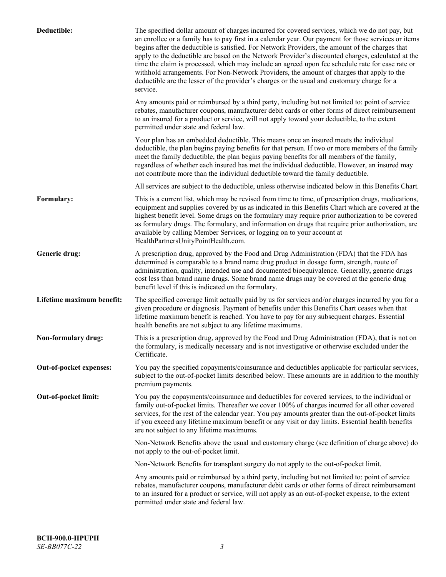| Deductible:               | The specified dollar amount of charges incurred for covered services, which we do not pay, but<br>an enrollee or a family has to pay first in a calendar year. Our payment for those services or items<br>begins after the deductible is satisfied. For Network Providers, the amount of the charges that<br>apply to the deductible are based on the Network Provider's discounted charges, calculated at the<br>time the claim is processed, which may include an agreed upon fee schedule rate for case rate or<br>withhold arrangements. For Non-Network Providers, the amount of charges that apply to the<br>deductible are the lesser of the provider's charges or the usual and customary charge for a<br>service. |
|---------------------------|----------------------------------------------------------------------------------------------------------------------------------------------------------------------------------------------------------------------------------------------------------------------------------------------------------------------------------------------------------------------------------------------------------------------------------------------------------------------------------------------------------------------------------------------------------------------------------------------------------------------------------------------------------------------------------------------------------------------------|
|                           | Any amounts paid or reimbursed by a third party, including but not limited to: point of service<br>rebates, manufacturer coupons, manufacturer debit cards or other forms of direct reimbursement<br>to an insured for a product or service, will not apply toward your deductible, to the extent<br>permitted under state and federal law.                                                                                                                                                                                                                                                                                                                                                                                |
|                           | Your plan has an embedded deductible. This means once an insured meets the individual<br>deductible, the plan begins paying benefits for that person. If two or more members of the family<br>meet the family deductible, the plan begins paying benefits for all members of the family,<br>regardless of whether each insured has met the individual deductible. However, an insured may<br>not contribute more than the individual deductible toward the family deductible.                                                                                                                                                                                                                                              |
|                           | All services are subject to the deductible, unless otherwise indicated below in this Benefits Chart.                                                                                                                                                                                                                                                                                                                                                                                                                                                                                                                                                                                                                       |
| Formulary:                | This is a current list, which may be revised from time to time, of prescription drugs, medications,<br>equipment and supplies covered by us as indicated in this Benefits Chart which are covered at the<br>highest benefit level. Some drugs on the formulary may require prior authorization to be covered<br>as formulary drugs. The formulary, and information on drugs that require prior authorization, are<br>available by calling Member Services, or logging on to your account at<br>HealthPartnersUnityPointHealth.com.                                                                                                                                                                                         |
| Generic drug:             | A prescription drug, approved by the Food and Drug Administration (FDA) that the FDA has<br>determined is comparable to a brand name drug product in dosage form, strength, route of<br>administration, quality, intended use and documented bioequivalence. Generally, generic drugs<br>cost less than brand name drugs. Some brand name drugs may be covered at the generic drug<br>benefit level if this is indicated on the formulary.                                                                                                                                                                                                                                                                                 |
| Lifetime maximum benefit: | The specified coverage limit actually paid by us for services and/or charges incurred by you for a<br>given procedure or diagnosis. Payment of benefits under this Benefits Chart ceases when that<br>lifetime maximum benefit is reached. You have to pay for any subsequent charges. Essential<br>health benefits are not subject to any lifetime maximums.                                                                                                                                                                                                                                                                                                                                                              |
| Non-formulary drug:       | This is a prescription drug, approved by the Food and Drug Administration (FDA), that is not on<br>the formulary, is medically necessary and is not investigative or otherwise excluded under the<br>Certificate.                                                                                                                                                                                                                                                                                                                                                                                                                                                                                                          |
| Out-of-pocket expenses:   | You pay the specified copayments/coinsurance and deductibles applicable for particular services,<br>subject to the out-of-pocket limits described below. These amounts are in addition to the monthly<br>premium payments.                                                                                                                                                                                                                                                                                                                                                                                                                                                                                                 |
| Out-of-pocket limit:      | You pay the copayments/coinsurance and deductibles for covered services, to the individual or<br>family out-of-pocket limits. Thereafter we cover 100% of charges incurred for all other covered<br>services, for the rest of the calendar year. You pay amounts greater than the out-of-pocket limits<br>if you exceed any lifetime maximum benefit or any visit or day limits. Essential health benefits<br>are not subject to any lifetime maximums.                                                                                                                                                                                                                                                                    |
|                           | Non-Network Benefits above the usual and customary charge (see definition of charge above) do<br>not apply to the out-of-pocket limit.                                                                                                                                                                                                                                                                                                                                                                                                                                                                                                                                                                                     |
|                           | Non-Network Benefits for transplant surgery do not apply to the out-of-pocket limit.                                                                                                                                                                                                                                                                                                                                                                                                                                                                                                                                                                                                                                       |
|                           | Any amounts paid or reimbursed by a third party, including but not limited to: point of service<br>rebates, manufacturer coupons, manufacturer debit cards or other forms of direct reimbursement<br>to an insured for a product or service, will not apply as an out-of-pocket expense, to the extent<br>permitted under state and federal law.                                                                                                                                                                                                                                                                                                                                                                           |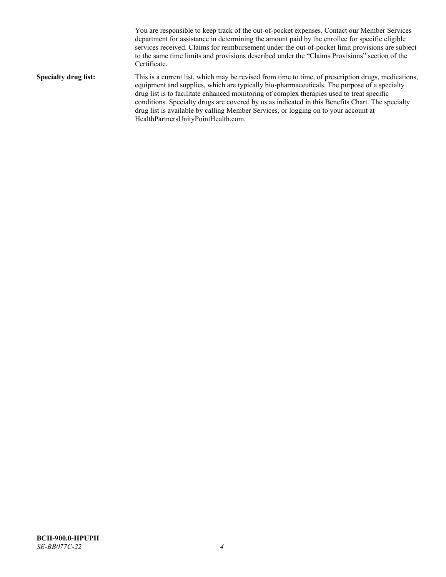You are responsible to keep track of the out-of-pocket expenses. Contact our Member Services department for assistance in determining the amount paid by the enrollee for specific eligible services received. Claims for reimbursement under the out-of-pocket limit provisions are subject to the same time limits and provisions described under the "Claims Provisions" section of the Certificate. **Specialty drug list:** This is a current list, which may be revised from time to time, of prescription drugs, medications, equipment and supplies, which are typically bio-pharmaceuticals. The purpose of a specialty drug list is to facilitate enhanced monitoring of complex therapies used to treat specific conditions. Specialty drugs are covered by us as indicated in this Benefits Chart. The specialty drug list is available by calling Member Services, or logging on to your account at [HealthPartnersUnityPointHealth.com.](https://www.healthpartnersunitypointhealth.com/)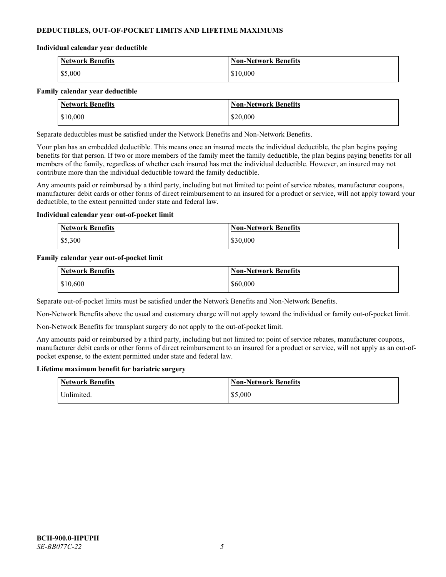# **DEDUCTIBLES, OUT-OF-POCKET LIMITS AND LIFETIME MAXIMUMS**

#### **Individual calendar year deductible**

| Network Benefits | <b>Non-Network Benefits</b> |
|------------------|-----------------------------|
| \$5,000          | \$10,000                    |

#### **Family calendar year deductible**

| <b>Network Benefits</b> | <b>Non-Network Benefits</b> |
|-------------------------|-----------------------------|
| \$10,000                | \$20,000                    |

Separate deductibles must be satisfied under the Network Benefits and Non-Network Benefits.

Your plan has an embedded deductible. This means once an insured meets the individual deductible, the plan begins paying benefits for that person. If two or more members of the family meet the family deductible, the plan begins paying benefits for all members of the family, regardless of whether each insured has met the individual deductible. However, an insured may not contribute more than the individual deductible toward the family deductible.

Any amounts paid or reimbursed by a third party, including but not limited to: point of service rebates, manufacturer coupons, manufacturer debit cards or other forms of direct reimbursement to an insured for a product or service, will not apply toward your deductible, to the extent permitted under state and federal law.

#### **Individual calendar year out-of-pocket limit**

| <b>Network Benefits</b> | <b>Non-Network Benefits</b> |
|-------------------------|-----------------------------|
| \$5,300                 | \$30,000                    |

#### **Family calendar year out-of-pocket limit**

| <b>Network Benefits</b> | <b>Non-Network Benefits</b> |
|-------------------------|-----------------------------|
| \$10,600                | \$60,000                    |

Separate out-of-pocket limits must be satisfied under the Network Benefits and Non-Network Benefits.

Non-Network Benefits above the usual and customary charge will not apply toward the individual or family out-of-pocket limit.

Non-Network Benefits for transplant surgery do not apply to the out-of-pocket limit.

Any amounts paid or reimbursed by a third party, including but not limited to: point of service rebates, manufacturer coupons, manufacturer debit cards or other forms of direct reimbursement to an insured for a product or service, will not apply as an out-ofpocket expense, to the extent permitted under state and federal law.

#### **Lifetime maximum benefit for bariatric surgery**

| <b>Network Benefits</b> | <b>Non-Network Benefits</b> |
|-------------------------|-----------------------------|
| <sup>I</sup> Inlimited. | \$5,000                     |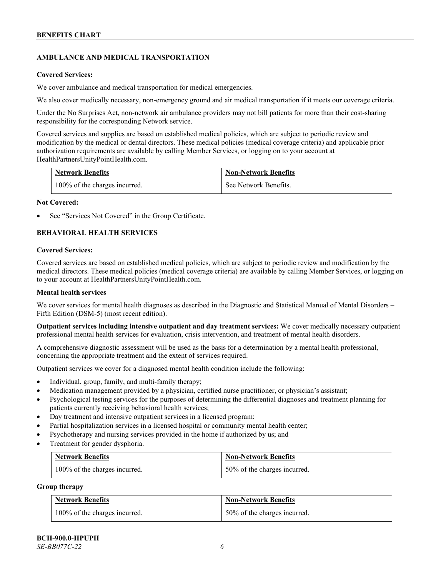# **AMBULANCE AND MEDICAL TRANSPORTATION**

#### **Covered Services:**

We cover ambulance and medical transportation for medical emergencies.

We also cover medically necessary, non-emergency ground and air medical transportation if it meets our coverage criteria.

Under the No Surprises Act, non-network air ambulance providers may not bill patients for more than their cost-sharing responsibility for the corresponding Network service.

Covered services and supplies are based on established medical policies, which are subject to periodic review and modification by the medical or dental directors. These medical policies (medical coverage criteria) and applicable prior authorization requirements are available by calling Member Services, or logging on to your account at [HealthPartnersUnityPointHealth.com.](https://www.healthpartnersunitypointhealth.com/)

| <b>Network Benefits</b>       | <b>Non-Network Benefits</b> |
|-------------------------------|-----------------------------|
| 100% of the charges incurred. | See Network Benefits.       |

#### **Not Covered:**

See "Services Not Covered" in the Group Certificate.

# **BEHAVIORAL HEALTH SERVICES**

#### **Covered Services:**

Covered services are based on established medical policies, which are subject to periodic review and modification by the medical directors. These medical policies (medical coverage criteria) are available by calling Member Services, or logging on to your account at [HealthPartnersUnityPointHealth.com.](https://www.healthpartnersunitypointhealth.com/)

#### **Mental health services**

We cover services for mental health diagnoses as described in the Diagnostic and Statistical Manual of Mental Disorders – Fifth Edition (DSM-5) (most recent edition).

**Outpatient services including intensive outpatient and day treatment services:** We cover medically necessary outpatient professional mental health services for evaluation, crisis intervention, and treatment of mental health disorders.

A comprehensive diagnostic assessment will be used as the basis for a determination by a mental health professional, concerning the appropriate treatment and the extent of services required.

Outpatient services we cover for a diagnosed mental health condition include the following:

- Individual, group, family, and multi-family therapy;
- Medication management provided by a physician, certified nurse practitioner, or physician's assistant;
- Psychological testing services for the purposes of determining the differential diagnoses and treatment planning for patients currently receiving behavioral health services;
- Day treatment and intensive outpatient services in a licensed program;
- Partial hospitalization services in a licensed hospital or community mental health center;
- Psychotherapy and nursing services provided in the home if authorized by us; and
- Treatment for gender dysphoria.

| <b>Network Benefits</b>       | <b>Non-Network Benefits</b>  |
|-------------------------------|------------------------------|
| 100% of the charges incurred. | 50% of the charges incurred. |

#### **Group therapy**

| <b>Network Benefits</b>       | <b>Non-Network Benefits</b>  |
|-------------------------------|------------------------------|
| 100% of the charges incurred. | 50% of the charges incurred. |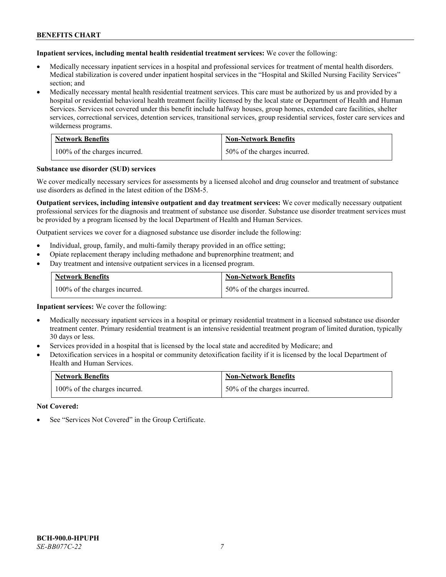**Inpatient services, including mental health residential treatment services:** We cover the following:

- Medically necessary inpatient services in a hospital and professional services for treatment of mental health disorders. Medical stabilization is covered under inpatient hospital services in the "Hospital and Skilled Nursing Facility Services" section; and
- Medically necessary mental health residential treatment services. This care must be authorized by us and provided by a hospital or residential behavioral health treatment facility licensed by the local state or Department of Health and Human Services. Services not covered under this benefit include halfway houses, group homes, extended care facilities, shelter services, correctional services, detention services, transitional services, group residential services, foster care services and wilderness programs.

| <b>Network Benefits</b>       | <b>Non-Network Benefits</b>  |
|-------------------------------|------------------------------|
| 100% of the charges incurred. | 50% of the charges incurred. |

#### **Substance use disorder (SUD) services**

We cover medically necessary services for assessments by a licensed alcohol and drug counselor and treatment of substance use disorders as defined in the latest edition of the DSM-5.

**Outpatient services, including intensive outpatient and day treatment services:** We cover medically necessary outpatient professional services for the diagnosis and treatment of substance use disorder. Substance use disorder treatment services must be provided by a program licensed by the local Department of Health and Human Services.

Outpatient services we cover for a diagnosed substance use disorder include the following:

- Individual, group, family, and multi-family therapy provided in an office setting;
- Opiate replacement therapy including methadone and buprenorphine treatment; and
- Day treatment and intensive outpatient services in a licensed program.

| <b>Network Benefits</b>       | <b>Non-Network Benefits</b>  |
|-------------------------------|------------------------------|
| 100% of the charges incurred. | 50% of the charges incurred. |

**Inpatient services:** We cover the following:

- Medically necessary inpatient services in a hospital or primary residential treatment in a licensed substance use disorder treatment center. Primary residential treatment is an intensive residential treatment program of limited duration, typically 30 days or less.
- Services provided in a hospital that is licensed by the local state and accredited by Medicare; and
- Detoxification services in a hospital or community detoxification facility if it is licensed by the local Department of Health and Human Services.

| <b>Network Benefits</b>       | <b>Non-Network Benefits</b>  |
|-------------------------------|------------------------------|
| 100% of the charges incurred. | 50% of the charges incurred. |

**Not Covered:**

See "Services Not Covered" in the Group Certificate.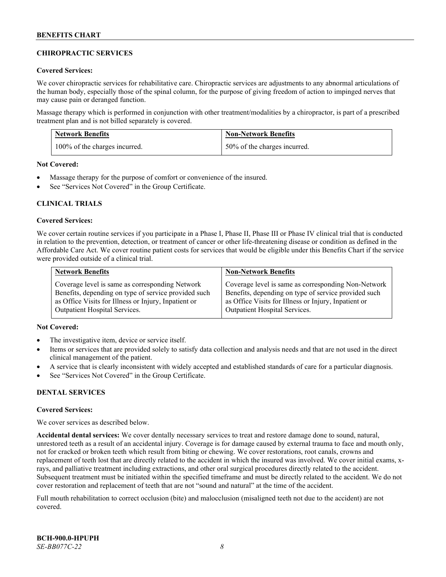# **CHIROPRACTIC SERVICES**

#### **Covered Services:**

We cover chiropractic services for rehabilitative care. Chiropractic services are adjustments to any abnormal articulations of the human body, especially those of the spinal column, for the purpose of giving freedom of action to impinged nerves that may cause pain or deranged function.

Massage therapy which is performed in conjunction with other treatment/modalities by a chiropractor, is part of a prescribed treatment plan and is not billed separately is covered.

| <b>Network Benefits</b>       | <b>Non-Network Benefits</b>  |
|-------------------------------|------------------------------|
| 100% of the charges incurred. | 50% of the charges incurred. |

**Not Covered:**

- Massage therapy for the purpose of comfort or convenience of the insured.
- See "Services Not Covered" in the Group Certificate.

# **CLINICAL TRIALS**

#### **Covered Services:**

We cover certain routine services if you participate in a Phase I, Phase II, Phase III or Phase IV clinical trial that is conducted in relation to the prevention, detection, or treatment of cancer or other life-threatening disease or condition as defined in the Affordable Care Act. We cover routine patient costs for services that would be eligible under this Benefits Chart if the service were provided outside of a clinical trial.

| <b>Network Benefits</b>                              | <b>Non-Network Benefits</b>                          |
|------------------------------------------------------|------------------------------------------------------|
| Coverage level is same as corresponding Network      | Coverage level is same as corresponding Non-Network  |
| Benefits, depending on type of service provided such | Benefits, depending on type of service provided such |
| as Office Visits for Illness or Injury, Inpatient or | as Office Visits for Illness or Injury, Inpatient or |
| <b>Outpatient Hospital Services.</b>                 | <b>Outpatient Hospital Services.</b>                 |

# **Not Covered:**

- The investigative item, device or service itself.
- Items or services that are provided solely to satisfy data collection and analysis needs and that are not used in the direct clinical management of the patient.
- A service that is clearly inconsistent with widely accepted and established standards of care for a particular diagnosis.
- See "Services Not Covered" in the Group Certificate.

# **DENTAL SERVICES**

#### **Covered Services:**

We cover services as described below.

**Accidental dental services:** We cover dentally necessary services to treat and restore damage done to sound, natural, unrestored teeth as a result of an accidental injury. Coverage is for damage caused by external trauma to face and mouth only, not for cracked or broken teeth which result from biting or chewing. We cover restorations, root canals, crowns and replacement of teeth lost that are directly related to the accident in which the insured was involved. We cover initial exams, xrays, and palliative treatment including extractions, and other oral surgical procedures directly related to the accident. Subsequent treatment must be initiated within the specified timeframe and must be directly related to the accident. We do not cover restoration and replacement of teeth that are not "sound and natural" at the time of the accident.

Full mouth rehabilitation to correct occlusion (bite) and malocclusion (misaligned teeth not due to the accident) are not covered.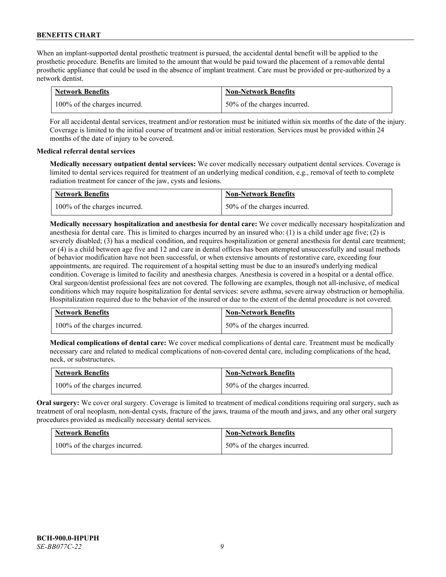When an implant-supported dental prosthetic treatment is pursued, the accidental dental benefit will be applied to the prosthetic procedure. Benefits are limited to the amount that would be paid toward the placement of a removable dental prosthetic appliance that could be used in the absence of implant treatment. Care must be provided or pre-authorized by a network dentist.

| <b>Network Benefits</b>       | <b>Non-Network Benefits</b>  |
|-------------------------------|------------------------------|
| 100% of the charges incurred. | 50% of the charges incurred. |

For all accidental dental services, treatment and/or restoration must be initiated within six months of the date of the injury. Coverage is limited to the initial course of treatment and/or initial restoration. Services must be provided within 24 months of the date of injury to be covered.

# **Medical referral dental services**

**Medically necessary outpatient dental services:** We cover medically necessary outpatient dental services. Coverage is limited to dental services required for treatment of an underlying medical condition, e.g., removal of teeth to complete radiation treatment for cancer of the jaw, cysts and lesions.

| <b>Network Benefits</b>       | <b>Non-Network Benefits</b>  |
|-------------------------------|------------------------------|
| 100% of the charges incurred. | 50% of the charges incurred. |

**Medically necessary hospitalization and anesthesia for dental care:** We cover medically necessary hospitalization and anesthesia for dental care. This is limited to charges incurred by an insured who: (1) is a child under age five; (2) is severely disabled; (3) has a medical condition, and requires hospitalization or general anesthesia for dental care treatment; or (4) is a child between age five and 12 and care in dental offices has been attempted unsuccessfully and usual methods of behavior modification have not been successful, or when extensive amounts of restorative care, exceeding four appointments, are required. The requirement of a hospital setting must be due to an insured's underlying medical condition. Coverage is limited to facility and anesthesia charges. Anesthesia is covered in a hospital or a dental office. Oral surgeon/dentist professional fees are not covered. The following are examples, though not all-inclusive, of medical conditions which may require hospitalization for dental services: severe asthma, severe airway obstruction or hemophilia. Hospitalization required due to the behavior of the insured or due to the extent of the dental procedure is not covered.

| <b>Network Benefits</b>       | <b>Non-Network Benefits</b>  |
|-------------------------------|------------------------------|
| 100% of the charges incurred. | 50% of the charges incurred. |

**Medical complications of dental care:** We cover medical complications of dental care. Treatment must be medically necessary care and related to medical complications of non-covered dental care, including complications of the head, neck, or substructures.

| <b>Network Benefits</b>       | <b>Non-Network Benefits</b>  |
|-------------------------------|------------------------------|
| 100% of the charges incurred. | 50% of the charges incurred. |

**Oral surgery:** We cover oral surgery. Coverage is limited to treatment of medical conditions requiring oral surgery, such as treatment of oral neoplasm, non-dental cysts, fracture of the jaws, trauma of the mouth and jaws, and any other oral surgery procedures provided as medically necessary dental services.

| <b>Network Benefits</b>       | <b>Non-Network Benefits</b>  |
|-------------------------------|------------------------------|
| 100% of the charges incurred. | 50% of the charges incurred. |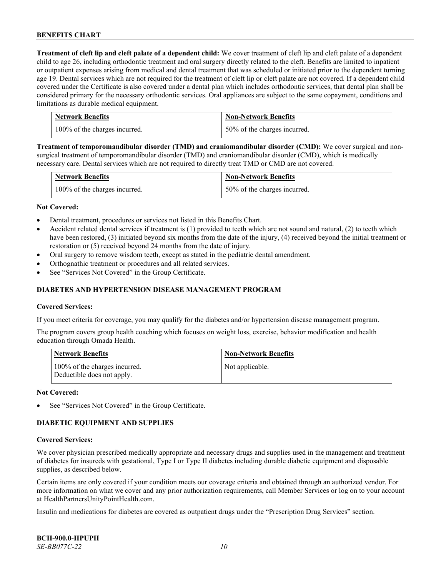**Treatment of cleft lip and cleft palate of a dependent child:** We cover treatment of cleft lip and cleft palate of a dependent child to age 26, including orthodontic treatment and oral surgery directly related to the cleft. Benefits are limited to inpatient or outpatient expenses arising from medical and dental treatment that was scheduled or initiated prior to the dependent turning age 19. Dental services which are not required for the treatment of cleft lip or cleft palate are not covered. If a dependent child covered under the Certificate is also covered under a dental plan which includes orthodontic services, that dental plan shall be considered primary for the necessary orthodontic services. Oral appliances are subject to the same copayment, conditions and limitations as durable medical equipment.

| <b>Network Benefits</b>       | <b>Non-Network Benefits</b>  |
|-------------------------------|------------------------------|
| 100% of the charges incurred. | 50% of the charges incurred. |

**Treatment of temporomandibular disorder (TMD) and craniomandibular disorder (CMD):** We cover surgical and nonsurgical treatment of temporomandibular disorder (TMD) and craniomandibular disorder (CMD), which is medically necessary care. Dental services which are not required to directly treat TMD or CMD are not covered.

| <b>Network Benefits</b>       | <b>Non-Network Benefits</b>  |
|-------------------------------|------------------------------|
| 100% of the charges incurred. | 50% of the charges incurred. |

#### **Not Covered:**

- Dental treatment, procedures or services not listed in this Benefits Chart.
- Accident related dental services if treatment is (1) provided to teeth which are not sound and natural, (2) to teeth which have been restored, (3) initiated beyond six months from the date of the injury, (4) received beyond the initial treatment or restoration or (5) received beyond 24 months from the date of injury.
- Oral surgery to remove wisdom teeth, except as stated in the pediatric dental amendment.
- Orthognathic treatment or procedures and all related services.
- See "Services Not Covered" in the Group Certificate.

#### **DIABETES AND HYPERTENSION DISEASE MANAGEMENT PROGRAM**

#### **Covered Services:**

If you meet criteria for coverage, you may qualify for the diabetes and/or hypertension disease management program.

The program covers group health coaching which focuses on weight loss, exercise, behavior modification and health education through Omada Health.

| <b>Network Benefits</b>                                     | <b>Non-Network Benefits</b> |
|-------------------------------------------------------------|-----------------------------|
| 100% of the charges incurred.<br>Deductible does not apply. | Not applicable.             |

#### **Not Covered:**

See "Services Not Covered" in the Group Certificate.

# **DIABETIC EQUIPMENT AND SUPPLIES**

#### **Covered Services:**

We cover physician prescribed medically appropriate and necessary drugs and supplies used in the management and treatment of diabetes for insureds with gestational, Type I or Type II diabetes including durable diabetic equipment and disposable supplies, as described below.

Certain items are only covered if your condition meets our coverage criteria and obtained through an authorized vendor. For more information on what we cover and any prior authorization requirements, call Member Services or log on to your account at [HealthPartnersUnityPointHealth.com.](https://www.healthpartnersunitypointhealth.com/)

Insulin and medications for diabetes are covered as outpatient drugs under the "Prescription Drug Services" section.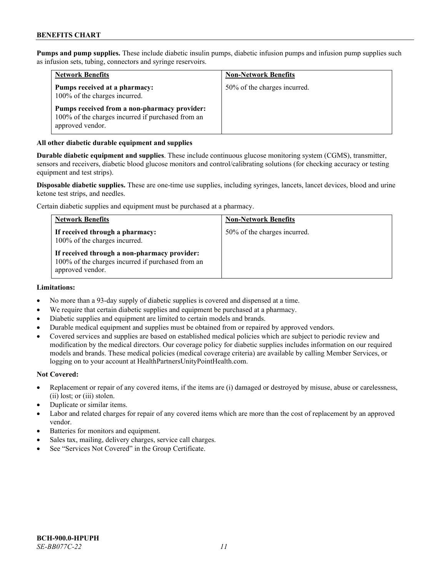**Pumps and pump supplies.** These include diabetic insulin pumps, diabetic infusion pumps and infusion pump supplies such as infusion sets, tubing, connectors and syringe reservoirs.

| <b>Network Benefits</b>                                                                                               | <b>Non-Network Benefits</b>  |
|-----------------------------------------------------------------------------------------------------------------------|------------------------------|
| Pumps received at a pharmacy:<br>100% of the charges incurred.                                                        | 50% of the charges incurred. |
| Pumps received from a non-pharmacy provider:<br>100% of the charges incurred if purchased from an<br>approved vendor. |                              |

#### **All other diabetic durable equipment and supplies**

**Durable diabetic equipment and supplies**. These include continuous glucose monitoring system (CGMS), transmitter, sensors and receivers, diabetic blood glucose monitors and control/calibrating solutions (for checking accuracy or testing equipment and test strips).

**Disposable diabetic supplies.** These are one-time use supplies, including syringes, lancets, lancet devices, blood and urine ketone test strips, and needles.

Certain diabetic supplies and equipment must be purchased at a pharmacy.

| <b>Network Benefits</b>                                                                                               | <b>Non-Network Benefits</b>  |
|-----------------------------------------------------------------------------------------------------------------------|------------------------------|
| If received through a pharmacy:<br>100% of the charges incurred.                                                      | 50% of the charges incurred. |
| If received through a non-pharmacy provider:<br>100% of the charges incurred if purchased from an<br>approved vendor. |                              |

#### **Limitations:**

- No more than a 93-day supply of diabetic supplies is covered and dispensed at a time.
- We require that certain diabetic supplies and equipment be purchased at a pharmacy.
- Diabetic supplies and equipment are limited to certain models and brands.
- Durable medical equipment and supplies must be obtained from or repaired by approved vendors.
- Covered services and supplies are based on established medical policies which are subject to periodic review and modification by the medical directors. Our coverage policy for diabetic supplies includes information on our required models and brands. These medical policies (medical coverage criteria) are available by calling Member Services, or logging on to your account a[t HealthPartnersUnityPointHealth.com.](https://www.healthpartnersunitypointhealth.com/)

#### **Not Covered:**

- Replacement or repair of any covered items, if the items are (i) damaged or destroyed by misuse, abuse or carelessness, (ii) lost; or (iii) stolen.
- Duplicate or similar items.
- Labor and related charges for repair of any covered items which are more than the cost of replacement by an approved vendor.
- Batteries for monitors and equipment.
- Sales tax, mailing, delivery charges, service call charges.
- See "Services Not Covered" in the Group Certificate.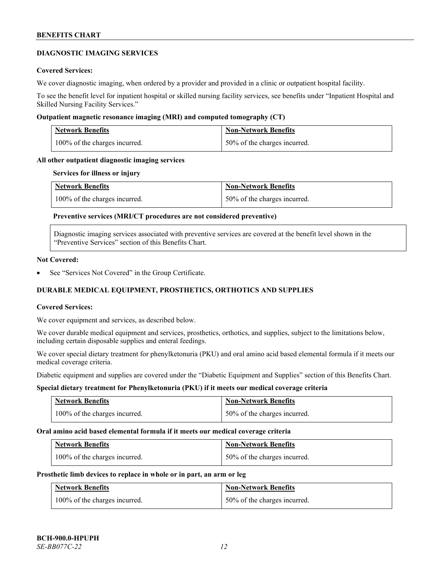#### **DIAGNOSTIC IMAGING SERVICES**

#### **Covered Services:**

We cover diagnostic imaging, when ordered by a provider and provided in a clinic or outpatient hospital facility.

To see the benefit level for inpatient hospital or skilled nursing facility services, see benefits under "Inpatient Hospital and Skilled Nursing Facility Services."

#### **Outpatient magnetic resonance imaging (MRI) and computed tomography (CT)**

| Network Benefits              | <b>Non-Network Benefits</b>  |
|-------------------------------|------------------------------|
| 100% of the charges incurred. | 50% of the charges incurred. |

#### **All other outpatient diagnostic imaging services**

#### **Services for illness or injury**

| <b>Network Benefits</b>       | <b>Non-Network Benefits</b>  |
|-------------------------------|------------------------------|
| 100% of the charges incurred. | 50% of the charges incurred. |

# **Preventive services (MRI/CT procedures are not considered preventive)**

Diagnostic imaging services associated with preventive services are covered at the benefit level shown in the "Preventive Services" section of this Benefits Chart.

#### **Not Covered:**

See "Services Not Covered" in the Group Certificate.

# **DURABLE MEDICAL EQUIPMENT, PROSTHETICS, ORTHOTICS AND SUPPLIES**

#### **Covered Services:**

We cover equipment and services, as described below.

We cover durable medical equipment and services, prosthetics, orthotics, and supplies, subject to the limitations below, including certain disposable supplies and enteral feedings.

We cover special dietary treatment for phenylketonuria (PKU) and oral amino acid based elemental formula if it meets our medical coverage criteria.

Diabetic equipment and supplies are covered under the "Diabetic Equipment and Supplies" section of this Benefits Chart.

# **Special dietary treatment for Phenylketonuria (PKU) if it meets our medical coverage criteria**

| <b>Network Benefits</b>       | <b>Non-Network Benefits</b>  |
|-------------------------------|------------------------------|
| 100% of the charges incurred. | 50% of the charges incurred. |

#### **Oral amino acid based elemental formula if it meets our medical coverage criteria**

| <b>Network Benefits</b>       | <b>Non-Network Benefits</b>  |
|-------------------------------|------------------------------|
| 100% of the charges incurred. | 50% of the charges incurred. |

#### **Prosthetic limb devices to replace in whole or in part, an arm or leg**

| <b>Network Benefits</b>       | <b>Non-Network Benefits</b>  |
|-------------------------------|------------------------------|
| 100% of the charges incurred. | 50% of the charges incurred. |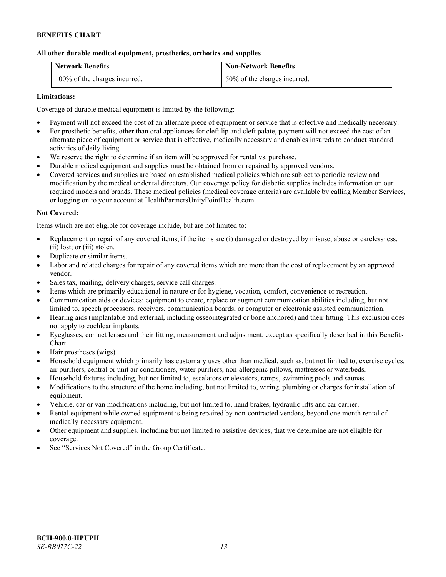# **All other durable medical equipment, prosthetics, orthotics and supplies**

| <b>Network Benefits</b>       | <b>Non-Network Benefits</b>  |
|-------------------------------|------------------------------|
| 100% of the charges incurred. | 50% of the charges incurred. |

# **Limitations:**

Coverage of durable medical equipment is limited by the following:

- Payment will not exceed the cost of an alternate piece of equipment or service that is effective and medically necessary.
- For prosthetic benefits, other than oral appliances for cleft lip and cleft palate, payment will not exceed the cost of an alternate piece of equipment or service that is effective, medically necessary and enables insureds to conduct standard activities of daily living.
- We reserve the right to determine if an item will be approved for rental vs. purchase.
- Durable medical equipment and supplies must be obtained from or repaired by approved vendors.
- Covered services and supplies are based on established medical policies which are subject to periodic review and modification by the medical or dental directors. Our coverage policy for diabetic supplies includes information on our required models and brands. These medical policies (medical coverage criteria) are available by calling Member Services, or logging on to your account at [HealthPartnersUnityPointHealth.com.](https://www.healthpartnersunitypointhealth.com/)

# **Not Covered:**

Items which are not eligible for coverage include, but are not limited to:

- Replacement or repair of any covered items, if the items are (i) damaged or destroyed by misuse, abuse or carelessness, (ii) lost; or (iii) stolen.
- Duplicate or similar items.
- Labor and related charges for repair of any covered items which are more than the cost of replacement by an approved vendor.
- Sales tax, mailing, delivery charges, service call charges.
- Items which are primarily educational in nature or for hygiene, vocation, comfort, convenience or recreation.
- Communication aids or devices: equipment to create, replace or augment communication abilities including, but not limited to, speech processors, receivers, communication boards, or computer or electronic assisted communication.
- Hearing aids (implantable and external, including osseointegrated or bone anchored) and their fitting. This exclusion does not apply to cochlear implants.
- Eyeglasses, contact lenses and their fitting, measurement and adjustment, except as specifically described in this Benefits Chart.
- Hair prostheses (wigs).
- Household equipment which primarily has customary uses other than medical, such as, but not limited to, exercise cycles, air purifiers, central or unit air conditioners, water purifiers, non-allergenic pillows, mattresses or waterbeds.
- Household fixtures including, but not limited to, escalators or elevators, ramps, swimming pools and saunas.
- Modifications to the structure of the home including, but not limited to, wiring, plumbing or charges for installation of equipment.
- Vehicle, car or van modifications including, but not limited to, hand brakes, hydraulic lifts and car carrier.
- Rental equipment while owned equipment is being repaired by non-contracted vendors, beyond one month rental of medically necessary equipment.
- Other equipment and supplies, including but not limited to assistive devices, that we determine are not eligible for coverage.
- See "Services Not Covered" in the Group Certificate.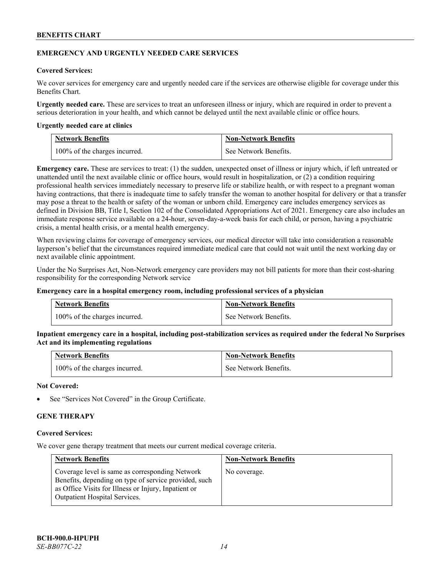#### **EMERGENCY AND URGENTLY NEEDED CARE SERVICES**

#### **Covered Services:**

We cover services for emergency care and urgently needed care if the services are otherwise eligible for coverage under this Benefits Chart.

**Urgently needed care.** These are services to treat an unforeseen illness or injury, which are required in order to prevent a serious deterioration in your health, and which cannot be delayed until the next available clinic or office hours.

#### **Urgently needed care at clinics**

| <b>Network Benefits</b>       | <b>Non-Network Benefits</b> |
|-------------------------------|-----------------------------|
| 100% of the charges incurred. | See Network Benefits.       |

**Emergency care.** These are services to treat: (1) the sudden, unexpected onset of illness or injury which, if left untreated or unattended until the next available clinic or office hours, would result in hospitalization, or (2) a condition requiring professional health services immediately necessary to preserve life or stabilize health, or with respect to a pregnant woman having contractions, that there is inadequate time to safely transfer the woman to another hospital for delivery or that a transfer may pose a threat to the health or safety of the woman or unborn child. Emergency care includes emergency services as defined in Division BB, Title I, Section 102 of the Consolidated Appropriations Act of 2021. Emergency care also includes an immediate response service available on a 24-hour, seven-day-a-week basis for each child, or person, having a psychiatric crisis, a mental health crisis, or a mental health emergency.

When reviewing claims for coverage of emergency services, our medical director will take into consideration a reasonable layperson's belief that the circumstances required immediate medical care that could not wait until the next working day or next available clinic appointment.

Under the No Surprises Act, Non-Network emergency care providers may not bill patients for more than their cost-sharing responsibility for the corresponding Network service

#### **Emergency care in a hospital emergency room, including professional services of a physician**

| <b>Network Benefits</b>       | <b>Non-Network Benefits</b> |
|-------------------------------|-----------------------------|
| 100% of the charges incurred. | See Network Benefits.       |

**Inpatient emergency care in a hospital, including post-stabilization services as required under the federal No Surprises Act and its implementing regulations**

| <b>Network Benefits</b>       | <b>Non-Network Benefits</b> |
|-------------------------------|-----------------------------|
| 100% of the charges incurred. | See Network Benefits.       |

#### **Not Covered:**

See "Services Not Covered" in the Group Certificate.

# **GENE THERAPY**

#### **Covered Services:**

We cover gene therapy treatment that meets our current medical coverage criteria.

| <b>Network Benefits</b>                                                                                                                                                                                  | <b>Non-Network Benefits</b> |
|----------------------------------------------------------------------------------------------------------------------------------------------------------------------------------------------------------|-----------------------------|
| Coverage level is same as corresponding Network<br>Benefits, depending on type of service provided, such<br>as Office Visits for Illness or Injury, Inpatient or<br><b>Outpatient Hospital Services.</b> | No coverage.                |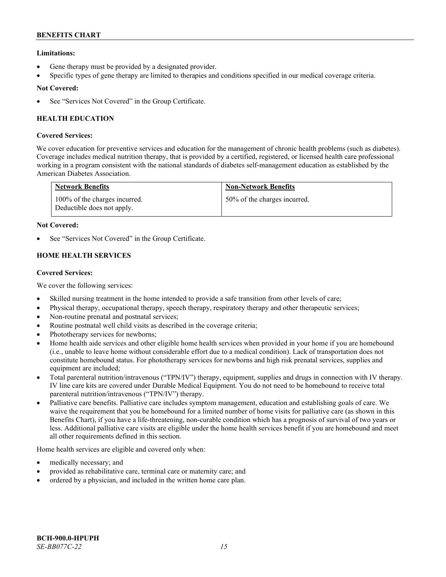# **Limitations:**

- Gene therapy must be provided by a designated provider.
- Specific types of gene therapy are limited to therapies and conditions specified in our medical coverage criteria.

# **Not Covered:**

See "Services Not Covered" in the Group Certificate.

# **HEALTH EDUCATION**

# **Covered Services:**

We cover education for preventive services and education for the management of chronic health problems (such as diabetes). Coverage includes medical nutrition therapy, that is provided by a certified, registered, or licensed health care professional working in a program consistent with the national standards of diabetes self-management education as established by the American Diabetes Association.

| <b>Network Benefits</b>                                     | <b>Non-Network Benefits</b>  |
|-------------------------------------------------------------|------------------------------|
| 100% of the charges incurred.<br>Deductible does not apply. | 50% of the charges incurred. |

# **Not Covered:**

See "Services Not Covered" in the Group Certificate.

# **HOME HEALTH SERVICES**

# **Covered Services:**

We cover the following services:

- Skilled nursing treatment in the home intended to provide a safe transition from other levels of care;
- Physical therapy, occupational therapy, speech therapy, respiratory therapy and other therapeutic services;
- Non-routine prenatal and postnatal services;
- Routine postnatal well child visits as described in the coverage criteria;
- Phototherapy services for newborns;
- Home health aide services and other eligible home health services when provided in your home if you are homebound (i.e., unable to leave home without considerable effort due to a medical condition). Lack of transportation does not constitute homebound status. For phototherapy services for newborns and high risk prenatal services, supplies and equipment are included;
- Total parenteral nutrition/intravenous ("TPN/IV") therapy, equipment, supplies and drugs in connection with IV therapy. IV line care kits are covered under Durable Medical Equipment. You do not need to be homebound to receive total parenteral nutrition/intravenous ("TPN/IV") therapy.
- Palliative care benefits. Palliative care includes symptom management, education and establishing goals of care. We waive the requirement that you be homebound for a limited number of home visits for palliative care (as shown in this Benefits Chart), if you have a life-threatening, non-curable condition which has a prognosis of survival of two years or less. Additional palliative care visits are eligible under the home health services benefit if you are homebound and meet all other requirements defined in this section.

Home health services are eligible and covered only when:

- medically necessary; and
- provided as rehabilitative care, terminal care or maternity care; and
- ordered by a physician, and included in the written home care plan.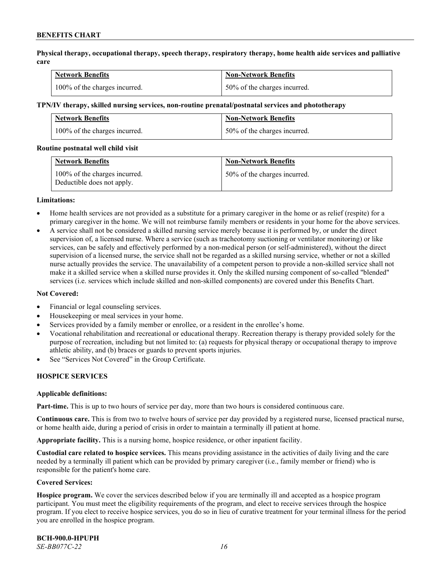**Physical therapy, occupational therapy, speech therapy, respiratory therapy, home health aide services and palliative care**

| <b>Network Benefits</b>       | <b>Non-Network Benefits</b>      |
|-------------------------------|----------------------------------|
| 100% of the charges incurred. | $150\%$ of the charges incurred. |

#### **TPN/IV therapy, skilled nursing services, non-routine prenatal/postnatal services and phototherapy**

| <b>Network Benefits</b>       | <b>Non-Network Benefits</b>  |
|-------------------------------|------------------------------|
| 100% of the charges incurred. | 50% of the charges incurred. |

#### **Routine postnatal well child visit**

| <b>Network Benefits</b>                                     | <b>Non-Network Benefits</b>  |
|-------------------------------------------------------------|------------------------------|
| 100% of the charges incurred.<br>Deductible does not apply. | 50% of the charges incurred. |

#### **Limitations:**

- Home health services are not provided as a substitute for a primary caregiver in the home or as relief (respite) for a primary caregiver in the home. We will not reimburse family members or residents in your home for the above services.
- A service shall not be considered a skilled nursing service merely because it is performed by, or under the direct supervision of, a licensed nurse. Where a service (such as tracheotomy suctioning or ventilator monitoring) or like services, can be safely and effectively performed by a non-medical person (or self-administered), without the direct supervision of a licensed nurse, the service shall not be regarded as a skilled nursing service, whether or not a skilled nurse actually provides the service. The unavailability of a competent person to provide a non-skilled service shall not make it a skilled service when a skilled nurse provides it. Only the skilled nursing component of so-called "blended" services (i.e. services which include skilled and non-skilled components) are covered under this Benefits Chart.

#### **Not Covered:**

- Financial or legal counseling services.
- Housekeeping or meal services in your home.
- Services provided by a family member or enrollee, or a resident in the enrollee's home.
- Vocational rehabilitation and recreational or educational therapy. Recreation therapy is therapy provided solely for the purpose of recreation, including but not limited to: (a) requests for physical therapy or occupational therapy to improve athletic ability, and (b) braces or guards to prevent sports injuries.
- See "Services Not Covered" in the Group Certificate.

# **HOSPICE SERVICES**

#### **Applicable definitions:**

**Part-time.** This is up to two hours of service per day, more than two hours is considered continuous care.

**Continuous care.** This is from two to twelve hours of service per day provided by a registered nurse, licensed practical nurse, or home health aide, during a period of crisis in order to maintain a terminally ill patient at home.

**Appropriate facility.** This is a nursing home, hospice residence, or other inpatient facility.

**Custodial care related to hospice services.** This means providing assistance in the activities of daily living and the care needed by a terminally ill patient which can be provided by primary caregiver (i.e., family member or friend) who is responsible for the patient's home care.

#### **Covered Services:**

**Hospice program.** We cover the services described below if you are terminally ill and accepted as a hospice program participant. You must meet the eligibility requirements of the program, and elect to receive services through the hospice program. If you elect to receive hospice services, you do so in lieu of curative treatment for your terminal illness for the period you are enrolled in the hospice program.

**BCH-900.0-HPUPH** *SE-BB077C-22 16*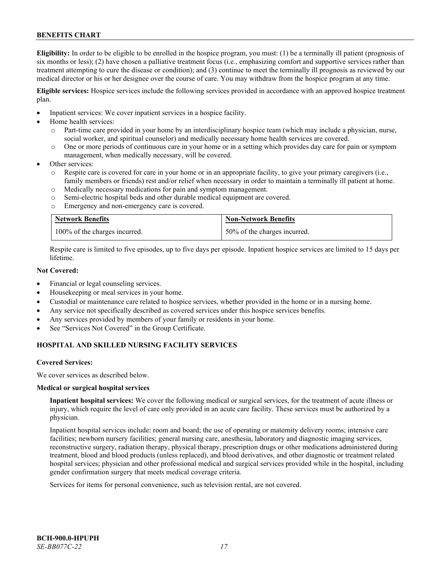**Eligibility:** In order to be eligible to be enrolled in the hospice program, you must: (1) be a terminally ill patient (prognosis of six months or less); (2) have chosen a palliative treatment focus (i.e., emphasizing comfort and supportive services rather than treatment attempting to cure the disease or condition); and (3) continue to meet the terminally ill prognosis as reviewed by our medical director or his or her designee over the course of care. You may withdraw from the hospice program at any time.

**Eligible services:** Hospice services include the following services provided in accordance with an approved hospice treatment plan.

- Inpatient services: We cover inpatient services in a hospice facility.
- Home health services:
	- o Part-time care provided in your home by an interdisciplinary hospice team (which may include a physician, nurse, social worker, and spiritual counselor) and medically necessary home health services are covered.
	- o One or more periods of continuous care in your home or in a setting which provides day care for pain or symptom management, when medically necessary, will be covered.
- Other services:
	- Respite care is covered for care in your home or in an appropriate facility, to give your primary caregivers (i.e., family members or friends) rest and/or relief when necessary in order to maintain a terminally ill patient at home.
	- o Medically necessary medications for pain and symptom management.
	- o Semi-electric hospital beds and other durable medical equipment are covered.
	- o Emergency and non-emergency care is covered.

| <b>Network Benefits</b>       | <b>Non-Network Benefits</b>  |
|-------------------------------|------------------------------|
| 100% of the charges incurred. | 50% of the charges incurred. |

Respite care is limited to five episodes, up to five days per episode. Inpatient hospice services are limited to 15 days per lifetime.

# **Not Covered:**

- Financial or legal counseling services.
- Housekeeping or meal services in your home.
- Custodial or maintenance care related to hospice services, whether provided in the home or in a nursing home.
- Any service not specifically described as covered services under this hospice services benefits.
- Any services provided by members of your family or residents in your home.
- See "Services Not Covered" in the Group Certificate.

# **HOSPITAL AND SKILLED NURSING FACILITY SERVICES**

#### **Covered Services:**

We cover services as described below.

#### **Medical or surgical hospital services**

**Inpatient hospital services:** We cover the following medical or surgical services, for the treatment of acute illness or injury, which require the level of care only provided in an acute care facility. These services must be authorized by a physician.

Inpatient hospital services include: room and board; the use of operating or maternity delivery rooms; intensive care facilities; newborn nursery facilities; general nursing care, anesthesia, laboratory and diagnostic imaging services, reconstructive surgery, radiation therapy, physical therapy, prescription drugs or other medications administered during treatment, blood and blood products (unless replaced), and blood derivatives, and other diagnostic or treatment related hospital services; physician and other professional medical and surgical services provided while in the hospital, including gender confirmation surgery that meets medical coverage criteria.

Services for items for personal convenience, such as television rental, are not covered.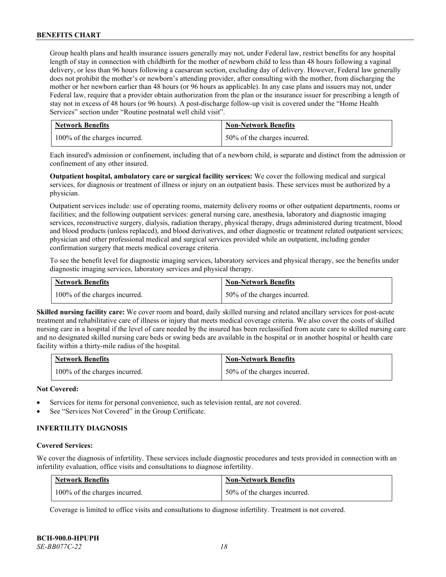Group health plans and health insurance issuers generally may not, under Federal law, restrict benefits for any hospital length of stay in connection with childbirth for the mother of newborn child to less than 48 hours following a vaginal delivery, or less than 96 hours following a caesarean section, excluding day of delivery. However, Federal law generally does not prohibit the mother's or newborn's attending provider, after consulting with the mother, from discharging the mother or her newborn earlier than 48 hours (or 96 hours as applicable). In any case plans and issuers may not, under Federal law, require that a provider obtain authorization from the plan or the insurance issuer for prescribing a length of stay not in excess of 48 hours (or 96 hours). A post-discharge follow-up visit is covered under the "Home Health Services" section under "Routine postnatal well child visit".

| <b>Network Benefits</b>       | <b>Non-Network Benefits</b>  |
|-------------------------------|------------------------------|
| 100% of the charges incurred. | 50% of the charges incurred. |

Each insured's admission or confinement, including that of a newborn child, is separate and distinct from the admission or confinement of any other insured.

**Outpatient hospital, ambulatory care or surgical facility services:** We cover the following medical and surgical services, for diagnosis or treatment of illness or injury on an outpatient basis. These services must be authorized by a physician.

Outpatient services include: use of operating rooms, maternity delivery rooms or other outpatient departments, rooms or facilities; and the following outpatient services: general nursing care, anesthesia, laboratory and diagnostic imaging services, reconstructive surgery, dialysis, radiation therapy, physical therapy, drugs administered during treatment, blood and blood products (unless replaced), and blood derivatives, and other diagnostic or treatment related outpatient services; physician and other professional medical and surgical services provided while an outpatient, including gender confirmation surgery that meets medical coverage criteria.

To see the benefit level for diagnostic imaging services, laboratory services and physical therapy, see the benefits under diagnostic imaging services, laboratory services and physical therapy.

| <b>Network Benefits</b>       | <b>Non-Network Benefits</b>  |
|-------------------------------|------------------------------|
| 100% of the charges incurred. | 50% of the charges incurred. |

**Skilled nursing facility care:** We cover room and board, daily skilled nursing and related ancillary services for post-acute treatment and rehabilitative care of illness or injury that meets medical coverage criteria. We also cover the costs of skilled nursing care in a hospital if the level of care needed by the insured has been reclassified from acute care to skilled nursing care and no designated skilled nursing care beds or swing beds are available in the hospital or in another hospital or health care facility within a thirty-mile radius of the hospital.

| <b>Network Benefits</b>       | <b>Non-Network Benefits</b>  |
|-------------------------------|------------------------------|
| 100% of the charges incurred. | 50% of the charges incurred. |

# **Not Covered:**

- Services for items for personal convenience, such as television rental, are not covered.
- See "Services Not Covered" in the Group Certificate.

# **INFERTILITY DIAGNOSIS**

#### **Covered Services:**

We cover the diagnosis of infertility. These services include diagnostic procedures and tests provided in connection with an infertility evaluation, office visits and consultations to diagnose infertility.

| <b>Network Benefits</b>       | <b>Non-Network Benefits</b>  |
|-------------------------------|------------------------------|
| 100% of the charges incurred. | 50% of the charges incurred. |

Coverage is limited to office visits and consultations to diagnose infertility. Treatment is not covered.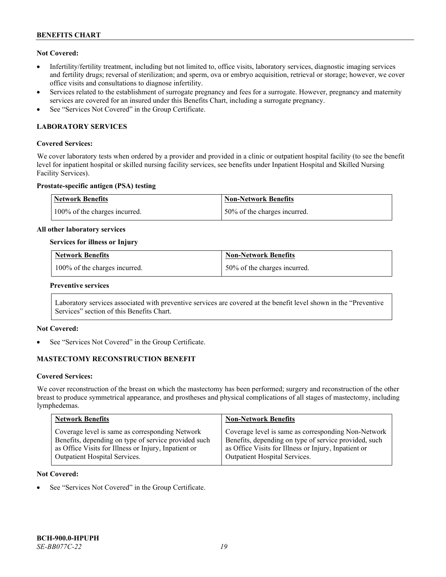# **Not Covered:**

- Infertility/fertility treatment, including but not limited to, office visits, laboratory services, diagnostic imaging services and fertility drugs; reversal of sterilization; and sperm, ova or embryo acquisition, retrieval or storage; however, we cover office visits and consultations to diagnose infertility.
- Services related to the establishment of surrogate pregnancy and fees for a surrogate. However, pregnancy and maternity services are covered for an insured under this Benefits Chart, including a surrogate pregnancy.
- See "Services Not Covered" in the Group Certificate.

# **LABORATORY SERVICES**

#### **Covered Services:**

We cover laboratory tests when ordered by a provider and provided in a clinic or outpatient hospital facility (to see the benefit level for inpatient hospital or skilled nursing facility services, see benefits under Inpatient Hospital and Skilled Nursing Facility Services).

#### **Prostate-specific antigen (PSA) testing**

| Network Benefits              | Non-Network Benefits          |
|-------------------------------|-------------------------------|
| 100% of the charges incurred. | 150% of the charges incurred. |

#### **All other laboratory services**

#### **Services for illness or Injury**

| <b>Network Benefits</b>          | <b>Non-Network Benefits</b>  |
|----------------------------------|------------------------------|
| $100\%$ of the charges incurred. | 50% of the charges incurred. |

#### **Preventive services**

Laboratory services associated with preventive services are covered at the benefit level shown in the "Preventive Services" section of this Benefits Chart.

# **Not Covered:**

See "Services Not Covered" in the Group Certificate.

# **MASTECTOMY RECONSTRUCTION BENEFIT**

#### **Covered Services:**

We cover reconstruction of the breast on which the mastectomy has been performed; surgery and reconstruction of the other breast to produce symmetrical appearance, and prostheses and physical complications of all stages of mastectomy, including lymphedemas.

| <b>Network Benefits</b>                              | <b>Non-Network Benefits</b>                           |
|------------------------------------------------------|-------------------------------------------------------|
| Coverage level is same as corresponding Network      | Coverage level is same as corresponding Non-Network   |
| Benefits, depending on type of service provided such | Benefits, depending on type of service provided, such |
| as Office Visits for Illness or Injury, Inpatient or | as Office Visits for Illness or Injury, Inpatient or  |
| Outpatient Hospital Services.                        | Outpatient Hospital Services.                         |

#### **Not Covered:**

See "Services Not Covered" in the Group Certificate.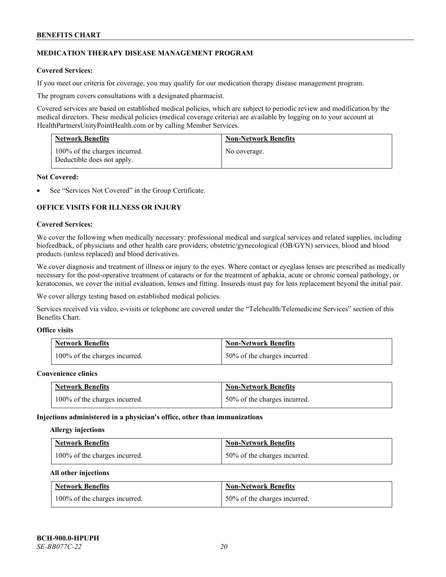# **MEDICATION THERAPY DISEASE MANAGEMENT PROGRAM**

# **Covered Services:**

If you meet our criteria for coverage, you may qualify for our medication therapy disease management program.

The program covers consultations with a designated pharmacist.

Covered services are based on established medical policies, which are subject to periodic review and modification by the medical directors. These medical policies (medical coverage criteria) are available by logging on to your account at [HealthPartnersUnityPointHealth.com](https://www.healthpartnersunitypointhealth.com/) or by calling Member Services.

| <b>Network Benefits</b>                                     | <b>Non-Network Benefits</b> |
|-------------------------------------------------------------|-----------------------------|
| 100% of the charges incurred.<br>Deductible does not apply. | No coverage.                |

#### **Not Covered:**

See "Services Not Covered" in the Group Certificate.

# **OFFICE VISITS FOR ILLNESS OR INJURY**

#### **Covered Services:**

We cover the following when medically necessary: professional medical and surgical services and related supplies, including biofeedback, of physicians and other health care providers; obstetric/gynecological (OB/GYN) services, blood and blood products (unless replaced) and blood derivatives.

We cover diagnosis and treatment of illness or injury to the eyes. Where contact or eyeglass lenses are prescribed as medically necessary for the post-operative treatment of cataracts or for the treatment of aphakia, acute or chronic corneal pathology, or keratoconus, we cover the initial evaluation, lenses and fitting. Insureds must pay for lens replacement beyond the initial pair.

We cover allergy testing based on established medical policies.

Services received via video, e-visits or telephone are covered under the "Telehealth/Telemedicine Services" section of this Benefits Chart.

# **Office visits**

| <b>Network Benefits</b>       | <b>Non-Network Benefits</b>  |
|-------------------------------|------------------------------|
| 100% of the charges incurred. | 50% of the charges incurred. |

#### **Convenience clinics**

| <b>Network Benefits</b>       | <b>Non-Network Benefits</b>  |
|-------------------------------|------------------------------|
| 100% of the charges incurred. | 50% of the charges incurred. |

#### **Injections administered in a physician's office, other than immunizations**

#### **Allergy injections**

| <b>Network Benefits</b>       | <b>Non-Network Benefits</b>  |
|-------------------------------|------------------------------|
| 100% of the charges incurred. | 50% of the charges incurred. |

#### **All other injections**

| <b>Network Benefits</b>       | <b>Non-Network Benefits</b>  |
|-------------------------------|------------------------------|
| 100% of the charges incurred. | 50% of the charges incurred. |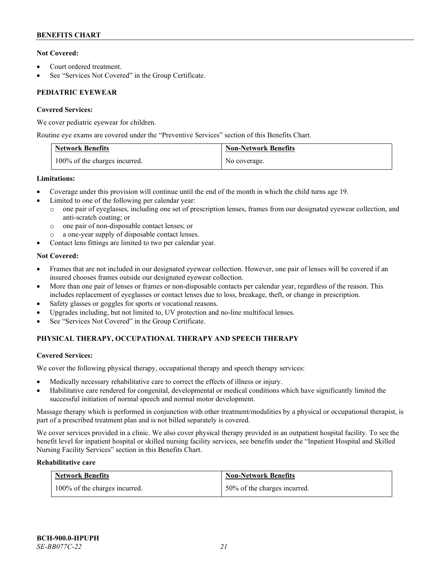# **Not Covered:**

- Court ordered treatment.
- See "Services Not Covered" in the Group Certificate.

# **PEDIATRIC EYEWEAR**

# **Covered Services:**

We cover pediatric eyewear for children.

Routine eye exams are covered under the "Preventive Services" section of this Benefits Chart.

| <b>Network Benefits</b>       | <b>Non-Network Benefits</b> |
|-------------------------------|-----------------------------|
| 100% of the charges incurred. | No coverage.                |

# **Limitations:**

- Coverage under this provision will continue until the end of the month in which the child turns age 19.
- Limited to one of the following per calendar year:
	- o one pair of eyeglasses, including one set of prescription lenses, frames from our designated eyewear collection, and anti-scratch coating; or
	- o one pair of non-disposable contact lenses; or
	- a one-year supply of disposable contact lenses.
- Contact lens fittings are limited to two per calendar year.

# **Not Covered:**

- Frames that are not included in our designated eyewear collection. However, one pair of lenses will be covered if an insured chooses frames outside our designated eyewear collection.
- More than one pair of lenses or frames or non-disposable contacts per calendar year, regardless of the reason. This includes replacement of eyeglasses or contact lenses due to loss, breakage, theft, or change in prescription.
- Safety glasses or goggles for sports or vocational reasons.
- Upgrades including, but not limited to, UV protection and no-line multifocal lenses.
- See "Services Not Covered" in the Group Certificate.

# **PHYSICAL THERAPY, OCCUPATIONAL THERAPY AND SPEECH THERAPY**

# **Covered Services:**

We cover the following physical therapy, occupational therapy and speech therapy services:

- Medically necessary rehabilitative care to correct the effects of illness or injury.
- Habilitative care rendered for congenital, developmental or medical conditions which have significantly limited the successful initiation of normal speech and normal motor development.

Massage therapy which is performed in conjunction with other treatment/modalities by a physical or occupational therapist, is part of a prescribed treatment plan and is not billed separately is covered.

We cover services provided in a clinic. We also cover physical therapy provided in an outpatient hospital facility. To see the benefit level for inpatient hospital or skilled nursing facility services, see benefits under the "Inpatient Hospital and Skilled Nursing Facility Services" section in this Benefits Chart.

# **Rehabilitative care**

| <b>Network Benefits</b>       | <b>Non-Network Benefits</b>  |
|-------------------------------|------------------------------|
| 100% of the charges incurred. | 50% of the charges incurred. |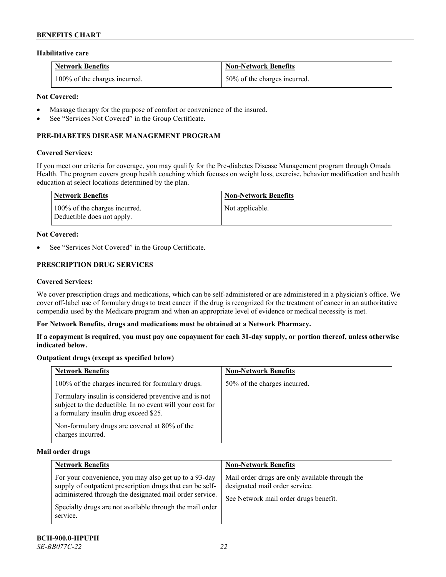#### **Habilitative care**

| <b>Network Benefits</b>       | <b>Non-Network Benefits</b>  |
|-------------------------------|------------------------------|
| 100% of the charges incurred. | 50% of the charges incurred. |

# **Not Covered:**

- Massage therapy for the purpose of comfort or convenience of the insured.
- See "Services Not Covered" in the Group Certificate.

# **PRE-DIABETES DISEASE MANAGEMENT PROGRAM**

#### **Covered Services:**

If you meet our criteria for coverage, you may qualify for the Pre-diabetes Disease Management program through Omada Health. The program covers group health coaching which focuses on weight loss, exercise, behavior modification and health education at select locations determined by the plan.

| Network Benefits                                            | <b>Non-Network Benefits</b> |
|-------------------------------------------------------------|-----------------------------|
| 100% of the charges incurred.<br>Deductible does not apply. | Not applicable.             |

#### **Not Covered:**

See "Services Not Covered" in the Group Certificate.

# **PRESCRIPTION DRUG SERVICES**

#### **Covered Services:**

We cover prescription drugs and medications, which can be self-administered or are administered in a physician's office. We cover off-label use of formulary drugs to treat cancer if the drug is recognized for the treatment of cancer in an authoritative compendia used by the Medicare program and when an appropriate level of evidence or medical necessity is met.

#### **For Network Benefits, drugs and medications must be obtained at a Network Pharmacy.**

**If a copayment is required, you must pay one copayment for each 31-day supply, or portion thereof, unless otherwise indicated below.**

# **Outpatient drugs (except as specified below)**

| <b>Network Benefits</b>                                                                                                                                     | <b>Non-Network Benefits</b>  |
|-------------------------------------------------------------------------------------------------------------------------------------------------------------|------------------------------|
| 100% of the charges incurred for formulary drugs.                                                                                                           | 50% of the charges incurred. |
| Formulary insulin is considered preventive and is not<br>subject to the deductible. In no event will your cost for<br>a formulary insulin drug exceed \$25. |                              |
| Non-formulary drugs are covered at 80% of the<br>charges incurred.                                                                                          |                              |

#### **Mail order drugs**

| <b>Network Benefits</b>                                                                                                                                                                                                                               | <b>Non-Network Benefits</b>                                                                                                |
|-------------------------------------------------------------------------------------------------------------------------------------------------------------------------------------------------------------------------------------------------------|----------------------------------------------------------------------------------------------------------------------------|
| For your convenience, you may also get up to a 93-day<br>supply of outpatient prescription drugs that can be self-<br>administered through the designated mail order service.<br>Specialty drugs are not available through the mail order<br>service. | Mail order drugs are only available through the<br>designated mail order service.<br>See Network mail order drugs benefit. |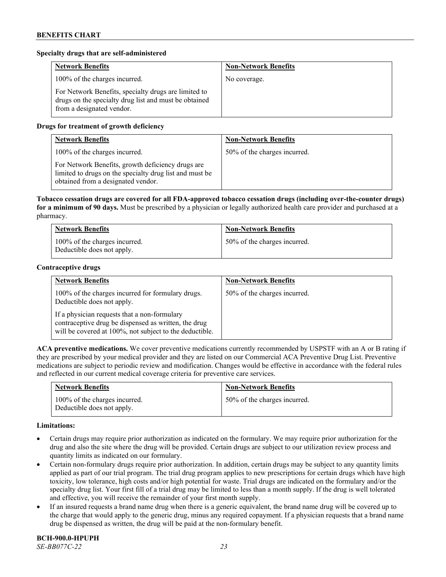# **Specialty drugs that are self-administered**

| <b>Network Benefits</b>                                                                                                                    | <b>Non-Network Benefits</b> |
|--------------------------------------------------------------------------------------------------------------------------------------------|-----------------------------|
| 100% of the charges incurred.                                                                                                              | No coverage.                |
| For Network Benefits, specialty drugs are limited to<br>drugs on the specialty drug list and must be obtained<br>from a designated vendor. |                             |

# **Drugs for treatment of growth deficiency**

| <b>Network Benefits</b>                                                                                                                            | <b>Non-Network Benefits</b>  |
|----------------------------------------------------------------------------------------------------------------------------------------------------|------------------------------|
| 100% of the charges incurred.                                                                                                                      | 50% of the charges incurred. |
| For Network Benefits, growth deficiency drugs are<br>limited to drugs on the specialty drug list and must be<br>obtained from a designated vendor. |                              |

**Tobacco cessation drugs are covered for all FDA-approved tobacco cessation drugs (including over-the-counter drugs) for a minimum of 90 days.** Must be prescribed by a physician or legally authorized health care provider and purchased at a pharmacy.

| <b>Network Benefits</b>                                     | <b>Non-Network Benefits</b>  |
|-------------------------------------------------------------|------------------------------|
| 100% of the charges incurred.<br>Deductible does not apply. | 50% of the charges incurred. |

# **Contraceptive drugs**

| <b>Network Benefits</b>                                                                                                                                         | <b>Non-Network Benefits</b>  |
|-----------------------------------------------------------------------------------------------------------------------------------------------------------------|------------------------------|
| 100% of the charges incurred for formulary drugs.<br>Deductible does not apply.                                                                                 | 50% of the charges incurred. |
| If a physician requests that a non-formulary<br>contraceptive drug be dispensed as written, the drug<br>will be covered at 100%, not subject to the deductible. |                              |

**ACA preventive medications.** We cover preventive medications currently recommended by USPSTF with an A or B rating if they are prescribed by your medical provider and they are listed on our Commercial ACA Preventive Drug List. Preventive medications are subject to periodic review and modification. Changes would be effective in accordance with the federal rules and reflected in our current medical coverage criteria for preventive care services.

| <b>Network Benefits</b>                                     | <b>Non-Network Benefits</b>  |
|-------------------------------------------------------------|------------------------------|
| 100% of the charges incurred.<br>Deductible does not apply. | 50% of the charges incurred. |

#### **Limitations:**

- Certain drugs may require prior authorization as indicated on the formulary. We may require prior authorization for the drug and also the site where the drug will be provided. Certain drugs are subject to our utilization review process and quantity limits as indicated on our formulary.
- Certain non-formulary drugs require prior authorization. In addition, certain drugs may be subject to any quantity limits applied as part of our trial program. The trial drug program applies to new prescriptions for certain drugs which have high toxicity, low tolerance, high costs and/or high potential for waste. Trial drugs are indicated on the formulary and/or the specialty drug list. Your first fill of a trial drug may be limited to less than a month supply. If the drug is well tolerated and effective, you will receive the remainder of your first month supply.
- If an insured requests a brand name drug when there is a generic equivalent, the brand name drug will be covered up to the charge that would apply to the generic drug, minus any required copayment. If a physician requests that a brand name drug be dispensed as written, the drug will be paid at the non-formulary benefit.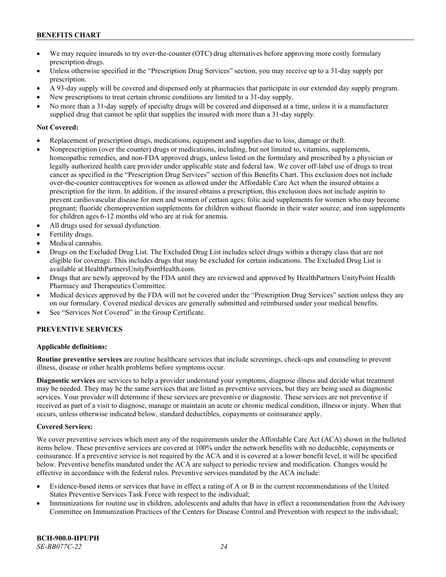- We may require insureds to try over-the-counter (OTC) drug alternatives before approving more costly formulary prescription drugs.
- Unless otherwise specified in the "Prescription Drug Services" section, you may receive up to a 31-day supply per prescription.
- A 93-day supply will be covered and dispensed only at pharmacies that participate in our extended day supply program.
- New prescriptions to treat certain chronic conditions are limited to a 31-day supply.
- No more than a 31-day supply of specialty drugs will be covered and dispensed at a time, unless it is a manufacturer supplied drug that cannot be split that supplies the insured with more than a 31-day supply.

# **Not Covered:**

- Replacement of prescription drugs, medications, equipment and supplies due to loss, damage or theft.
- Nonprescription (over the counter) drugs or medications, including, but not limited to, vitamins, supplements, homeopathic remedies, and non-FDA approved drugs, unless listed on the formulary and prescribed by a physician or legally authorized health care provider under applicable state and federal law. We cover off-label use of drugs to treat cancer as specified in the "Prescription Drug Services" section of this Benefits Chart. This exclusion does not include over-the-counter contraceptives for women as allowed under the Affordable Care Act when the insured obtains a prescription for the item. In addition, if the insured obtains a prescription, this exclusion does not include aspirin to prevent cardiovascular disease for men and women of certain ages; folic acid supplements for women who may become pregnant; fluoride chemoprevention supplements for children without fluoride in their water source; and iron supplements for children ages 6-12 months old who are at risk for anemia.
- All drugs used for sexual dysfunction.
- Fertility drugs.
- Medical cannabis.
- Drugs on the Excluded Drug List. The Excluded Drug List includes select drugs within a therapy class that are not eligible for coverage. This includes drugs that may be excluded for certain indications. The Excluded Drug List is available a[t HealthPartnersUnityPointHealth.com.](https://www.healthpartnersunitypointhealth.com/)
- Drugs that are newly approved by the FDA until they are reviewed and approved by HealthPartners UnityPoint Health Pharmacy and Therapeutics Committee.
- Medical devices approved by the FDA will not be covered under the "Prescription Drug Services" section unless they are on our formulary. Covered medical devices are generally submitted and reimbursed under your medical benefits.
- See "Services Not Covered" in the Group Certificate.

# **PREVENTIVE SERVICES**

# **Applicable definitions:**

**Routine preventive services** are routine healthcare services that include screenings, check-ups and counseling to prevent illness, disease or other health problems before symptoms occur.

**Diagnostic services** are services to help a provider understand your symptoms, diagnose illness and decide what treatment may be needed. They may be the same services that are listed as preventive services, but they are being used as diagnostic services. Your provider will determine if these services are preventive or diagnostic. These services are not preventive if received as part of a visit to diagnose, manage or maintain an acute or chronic medical condition, illness or injury. When that occurs, unless otherwise indicated below, standard deductibles, copayments or coinsurance apply.

# **Covered Services:**

We cover preventive services which meet any of the requirements under the Affordable Care Act (ACA) shown in the bulleted items below. These preventive services are covered at 100% under the network benefits with no deductible, copayments or coinsurance. If a preventive service is not required by the ACA and it is covered at a lower benefit level, it will be specified below. Preventive benefits mandated under the ACA are subject to periodic review and modification. Changes would be effective in accordance with the federal rules. Preventive services mandated by the ACA include:

- Evidence-based items or services that have in effect a rating of A or B in the current recommendations of the United States Preventive Services Task Force with respect to the individual;
- Immunizations for routine use in children, adolescents and adults that have in effect a recommendation from the Advisory Committee on Immunization Practices of the Centers for Disease Control and Prevention with respect to the individual;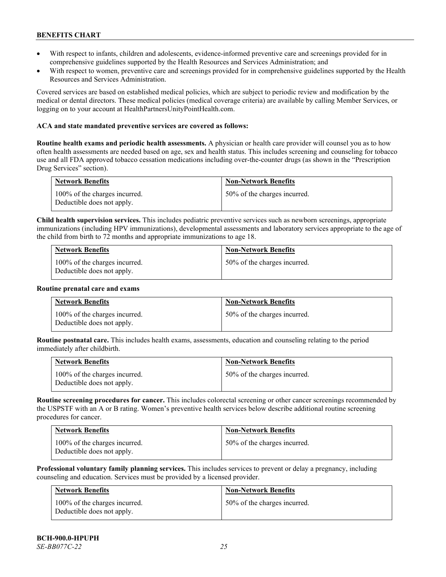- With respect to infants, children and adolescents, evidence-informed preventive care and screenings provided for in comprehensive guidelines supported by the Health Resources and Services Administration; and
- With respect to women, preventive care and screenings provided for in comprehensive guidelines supported by the Health Resources and Services Administration.

Covered services are based on established medical policies, which are subject to periodic review and modification by the medical or dental directors. These medical policies (medical coverage criteria) are available by calling Member Services, or logging on to your account at [HealthPartnersUnityPointHealth.com.](https://www.healthpartnersunitypointhealth.com/)

#### **ACA and state mandated preventive services are covered as follows:**

**Routine health exams and periodic health assessments.** A physician or health care provider will counsel you as to how often health assessments are needed based on age, sex and health status. This includes screening and counseling for tobacco use and all FDA approved tobacco cessation medications including over-the-counter drugs (as shown in the "Prescription Drug Services" section).

| <b>Network Benefits</b>                                     | <b>Non-Network Benefits</b>  |
|-------------------------------------------------------------|------------------------------|
| 100% of the charges incurred.<br>Deductible does not apply. | 50% of the charges incurred. |

**Child health supervision services.** This includes pediatric preventive services such as newborn screenings, appropriate immunizations (including HPV immunizations), developmental assessments and laboratory services appropriate to the age of the child from birth to 72 months and appropriate immunizations to age 18.

| <b>Network Benefits</b>                                     | <b>Non-Network Benefits</b>  |
|-------------------------------------------------------------|------------------------------|
| 100% of the charges incurred.<br>Deductible does not apply. | 50% of the charges incurred. |

#### **Routine prenatal care and exams**

| <b>Network Benefits</b>                                     | <b>Non-Network Benefits</b>  |
|-------------------------------------------------------------|------------------------------|
| 100% of the charges incurred.<br>Deductible does not apply. | 50% of the charges incurred. |

**Routine postnatal care.** This includes health exams, assessments, education and counseling relating to the period immediately after childbirth.

| <b>Network Benefits</b> |                                                             | <b>Non-Network Benefits</b>  |
|-------------------------|-------------------------------------------------------------|------------------------------|
|                         | 100% of the charges incurred.<br>Deductible does not apply. | 50% of the charges incurred. |

**Routine screening procedures for cancer.** This includes colorectal screening or other cancer screenings recommended by the USPSTF with an A or B rating. Women's preventive health services below describe additional routine screening procedures for cancer.

| <b>Network Benefits</b>                                     | <b>Non-Network Benefits</b>  |
|-------------------------------------------------------------|------------------------------|
| 100% of the charges incurred.<br>Deductible does not apply. | 50% of the charges incurred. |

**Professional voluntary family planning services.** This includes services to prevent or delay a pregnancy, including counseling and education. Services must be provided by a licensed provider.

| Network Benefits                                            | <b>Non-Network Benefits</b>  |
|-------------------------------------------------------------|------------------------------|
| 100% of the charges incurred.<br>Deductible does not apply. | 50% of the charges incurred. |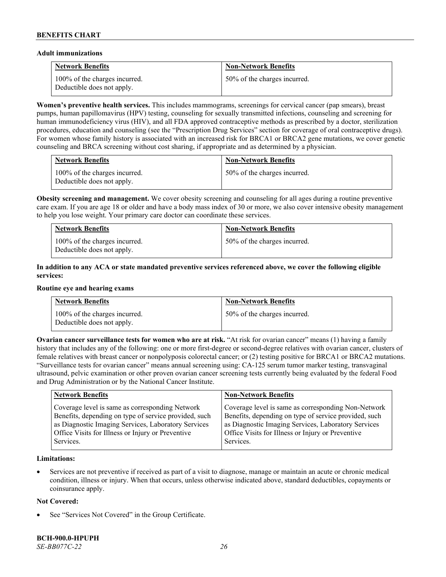#### **Adult immunizations**

| <b>Network Benefits</b>                                     | <b>Non-Network Benefits</b>  |
|-------------------------------------------------------------|------------------------------|
| 100% of the charges incurred.<br>Deductible does not apply. | 50% of the charges incurred. |

**Women's preventive health services.** This includes mammograms, screenings for cervical cancer (pap smears), breast pumps, human papillomavirus (HPV) testing, counseling for sexually transmitted infections, counseling and screening for human immunodeficiency virus (HIV), and all FDA approved contraceptive methods as prescribed by a doctor, sterilization procedures, education and counseling (see the "Prescription Drug Services" section for coverage of oral contraceptive drugs). For women whose family history is associated with an increased risk for BRCA1 or BRCA2 gene mutations, we cover genetic counseling and BRCA screening without cost sharing, if appropriate and as determined by a physician.

| <b>Network Benefits</b>                                     | <b>Non-Network Benefits</b>  |
|-------------------------------------------------------------|------------------------------|
| 100% of the charges incurred.<br>Deductible does not apply. | 50% of the charges incurred. |

**Obesity screening and management.** We cover obesity screening and counseling for all ages during a routine preventive care exam. If you are age 18 or older and have a body mass index of 30 or more, we also cover intensive obesity management to help you lose weight. Your primary care doctor can coordinate these services.

| <b>Network Benefits</b>                                     | <b>Non-Network Benefits</b>  |
|-------------------------------------------------------------|------------------------------|
| 100% of the charges incurred.<br>Deductible does not apply. | 50% of the charges incurred. |

# **In addition to any ACA or state mandated preventive services referenced above, we cover the following eligible services:**

#### **Routine eye and hearing exams**

| <b>Network Benefits</b>                                     | <b>Non-Network Benefits</b>  |
|-------------------------------------------------------------|------------------------------|
| 100% of the charges incurred.<br>Deductible does not apply. | 50% of the charges incurred. |

**Ovarian cancer surveillance tests for women who are at risk.** "At risk for ovarian cancer" means (1) having a family history that includes any of the following: one or more first-degree or second-degree relatives with ovarian cancer, clusters of female relatives with breast cancer or nonpolyposis colorectal cancer; or (2) testing positive for BRCA1 or BRCA2 mutations. "Surveillance tests for ovarian cancer" means annual screening using: CA-125 serum tumor marker testing, transvaginal ultrasound, pelvic examination or other proven ovarian cancer screening tests currently being evaluated by the federal Food and Drug Administration or by the National Cancer Institute.

| <b>Network Benefits</b>                               | <b>Non-Network Benefits</b>                           |
|-------------------------------------------------------|-------------------------------------------------------|
| Coverage level is same as corresponding Network       | Coverage level is same as corresponding Non-Network   |
| Benefits, depending on type of service provided, such | Benefits, depending on type of service provided, such |
| as Diagnostic Imaging Services, Laboratory Services   | as Diagnostic Imaging Services, Laboratory Services   |
| Office Visits for Illness or Injury or Preventive     | Office Visits for Illness or Injury or Preventive     |
| Services.                                             | Services.                                             |

#### **Limitations:**

• Services are not preventive if received as part of a visit to diagnose, manage or maintain an acute or chronic medical condition, illness or injury. When that occurs, unless otherwise indicated above, standard deductibles, copayments or coinsurance apply.

#### **Not Covered:**

See "Services Not Covered" in the Group Certificate.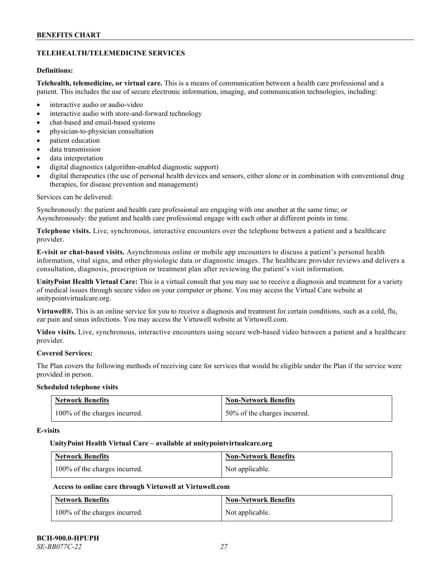# **TELEHEALTH/TELEMEDICINE SERVICES**

# **Definitions:**

**Telehealth, telemedicine, or virtual care.** This is a means of communication between a health care professional and a patient. This includes the use of secure electronic information, imaging, and communication technologies, including:

- interactive audio or audio-video
- interactive audio with store-and-forward technology
- chat-based and email-based systems
- physician-to-physician consultation
- patient education
- data transmission
- data interpretation
- digital diagnostics (algorithm-enabled diagnostic support)
- digital therapeutics (the use of personal health devices and sensors, either alone or in combination with conventional drug therapies, for disease prevention and management)

#### Services can be delivered:

Synchronously: the patient and health care professional are engaging with one another at the same time; or Asynchronously: the patient and health care professional engage with each other at different points in time.

**Telephone visits.** Live, synchronous, interactive encounters over the telephone between a patient and a healthcare provider.

**E-visit or chat-based visits.** Asynchronous online or mobile app encounters to discuss a patient's personal health information, vital signs, and other physiologic data or diagnostic images. The healthcare provider reviews and delivers a consultation, diagnosis, prescription or treatment plan after reviewing the patient's visit information.

**UnityPoint Health Virtual Care:** This is a virtual consult that you may use to receive a diagnosis and treatment for a variety of medical issues through secure video on your computer or phone. You may access the Virtual Care website at [unitypointvirtualcare.org.](https://unitypointvirtualcare.org/landing.htm)

**Virtuwell®.** This is an online service for you to receive a diagnosis and treatment for certain conditions, such as a cold, flu, ear pain and sinus infections. You may access the Virtuwell website at [Virtuwell.com.](https://www.virtuwell.com/)

**Video visits.** Live, synchronous, interactive encounters using secure web-based video between a patient and a healthcare provider.

# **Covered Services:**

The Plan covers the following methods of receiving care for services that would be eligible under the Plan if the service were provided in person.

#### **Scheduled telephone visits**

| <b>Network Benefits</b>       | <b>Non-Network Benefits</b>  |
|-------------------------------|------------------------------|
| 100% of the charges incurred. | 50% of the charges incurred. |

#### **E-visits**

#### **UnityPoint Health Virtual Care – available a[t unitypointvirtualcare.org](http://www.unitypointvirtualcare.org/)**

| <b>Network Benefits</b>       | <b>Non-Network Benefits</b> |
|-------------------------------|-----------------------------|
| 100% of the charges incurred. | Not applicable.             |

# **Access to online care through Virtuwell at [Virtuwell.com](http://www.virtuwell.com/)**

| <b>Network Benefits</b>       | <b>Non-Network Benefits</b> |
|-------------------------------|-----------------------------|
| 100% of the charges incurred. | Not applicable.             |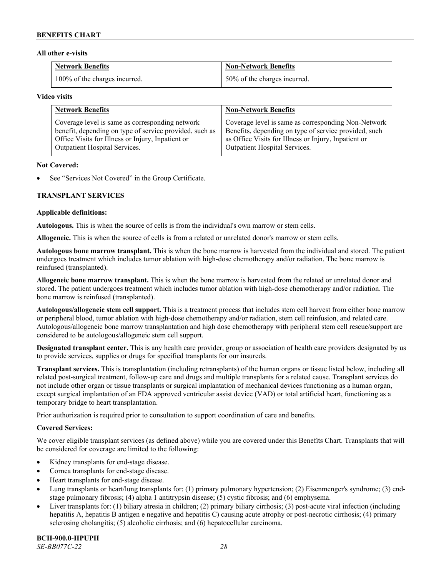#### **All other e-visits**

| <b>Network Benefits</b>       | <b>Non-Network Benefits</b>  |
|-------------------------------|------------------------------|
| 100% of the charges incurred. | 50% of the charges incurred. |

#### **Video visits**

| <b>Network Benefits</b>                                 | <b>Non-Network Benefits</b>                           |
|---------------------------------------------------------|-------------------------------------------------------|
| Coverage level is same as corresponding network         | Coverage level is same as corresponding Non-Network   |
| benefit, depending on type of service provided, such as | Benefits, depending on type of service provided, such |
| Office Visits for Illness or Injury, Inpatient or       | as Office Visits for Illness or Injury, Inpatient or  |
| Outpatient Hospital Services.                           | Outpatient Hospital Services.                         |

#### **Not Covered:**

See "Services Not Covered" in the Group Certificate.

# **TRANSPLANT SERVICES**

#### **Applicable definitions:**

**Autologous.** This is when the source of cells is from the individual's own marrow or stem cells.

**Allogeneic.** This is when the source of cells is from a related or unrelated donor's marrow or stem cells.

**Autologous bone marrow transplant.** This is when the bone marrow is harvested from the individual and stored. The patient undergoes treatment which includes tumor ablation with high-dose chemotherapy and/or radiation. The bone marrow is reinfused (transplanted).

**Allogeneic bone marrow transplant.** This is when the bone marrow is harvested from the related or unrelated donor and stored. The patient undergoes treatment which includes tumor ablation with high-dose chemotherapy and/or radiation. The bone marrow is reinfused (transplanted).

**Autologous/allogeneic stem cell support.** This is a treatment process that includes stem cell harvest from either bone marrow or peripheral blood, tumor ablation with high-dose chemotherapy and/or radiation, stem cell reinfusion, and related care. Autologous/allogeneic bone marrow transplantation and high dose chemotherapy with peripheral stem cell rescue/support are considered to be autologous/allogeneic stem cell support.

**Designated transplant center.** This is any health care provider, group or association of health care providers designated by us to provide services, supplies or drugs for specified transplants for our insureds.

**Transplant services.** This is transplantation (including retransplants) of the human organs or tissue listed below, including all related post-surgical treatment, follow-up care and drugs and multiple transplants for a related cause. Transplant services do not include other organ or tissue transplants or surgical implantation of mechanical devices functioning as a human organ, except surgical implantation of an FDA approved ventricular assist device (VAD) or total artificial heart, functioning as a temporary bridge to heart transplantation.

Prior authorization is required prior to consultation to support coordination of care and benefits.

# **Covered Services:**

We cover eligible transplant services (as defined above) while you are covered under this Benefits Chart. Transplants that will be considered for coverage are limited to the following:

- Kidney transplants for end-stage disease.
- Cornea transplants for end-stage disease.
- Heart transplants for end-stage disease.
- Lung transplants or heart/lung transplants for: (1) primary pulmonary hypertension; (2) Eisenmenger's syndrome; (3) endstage pulmonary fibrosis; (4) alpha 1 antitrypsin disease; (5) cystic fibrosis; and (6) emphysema.
- Liver transplants for: (1) biliary atresia in children; (2) primary biliary cirrhosis; (3) post-acute viral infection (including hepatitis A, hepatitis B antigen e negative and hepatitis C) causing acute atrophy or post-necrotic cirrhosis; (4) primary sclerosing cholangitis; (5) alcoholic cirrhosis; and (6) hepatocellular carcinoma.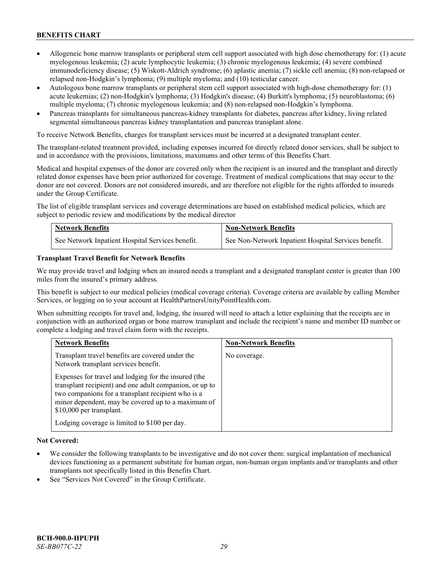- Allogeneic bone marrow transplants or peripheral stem cell support associated with high dose chemotherapy for: (1) acute myelogenous leukemia; (2) acute lymphocytic leukemia; (3) chronic myelogenous leukemia; (4) severe combined immunodeficiency disease; (5) Wiskott-Aldrich syndrome; (6) aplastic anemia; (7) sickle cell anemia; (8) non-relapsed or relapsed non-Hodgkin's lymphoma; (9) multiple myeloma; and (10) testicular cancer.
- Autologous bone marrow transplants or peripheral stem cell support associated with high-dose chemotherapy for: (1) acute leukemias; (2) non-Hodgkin's lymphoma; (3) Hodgkin's disease; (4) Burkitt's lymphoma; (5) neuroblastoma; (6) multiple myeloma; (7) chronic myelogenous leukemia; and (8) non-relapsed non-Hodgkin's lymphoma.
- Pancreas transplants for simultaneous pancreas-kidney transplants for diabetes, pancreas after kidney, living related segmental simultaneous pancreas kidney transplantation and pancreas transplant alone.

To receive Network Benefits, charges for transplant services must be incurred at a designated transplant center.

The transplant-related treatment provided, including expenses incurred for directly related donor services, shall be subject to and in accordance with the provisions, limitations, maximums and other terms of this Benefits Chart.

Medical and hospital expenses of the donor are covered only when the recipient is an insured and the transplant and directly related donor expenses have been prior authorized for coverage. Treatment of medical complications that may occur to the donor are not covered. Donors are not considered insureds, and are therefore not eligible for the rights afforded to insureds under the Group Certificate.

The list of eligible transplant services and coverage determinations are based on established medical policies, which are subject to periodic review and modifications by the medical director

| <b>Network Benefits</b>                          | <b>Non-Network Benefits</b>                          |
|--------------------------------------------------|------------------------------------------------------|
| See Network Inpatient Hospital Services benefit. | See Non-Network Inpatient Hospital Services benefit. |

#### **Transplant Travel Benefit for Network Benefits**

We may provide travel and lodging when an insured needs a transplant and a designated transplant center is greater than 100 miles from the insured's primary address.

This benefit is subject to our medical policies (medical coverage criteria). Coverage criteria are available by calling Member Services, or logging on to your account at [HealthPartnersUnityPointHealth.com.](https://www.healthpartnersunitypointhealth.com/)

When submitting receipts for travel and, lodging, the insured will need to attach a letter explaining that the receipts are in conjunction with an authorized organ or bone marrow transplant and include the recipient's name and member ID number or complete a lodging and travel claim form with the receipts.

| <b>Network Benefits</b>                                                                                                                                                                                                                                 | <b>Non-Network Benefits</b> |
|---------------------------------------------------------------------------------------------------------------------------------------------------------------------------------------------------------------------------------------------------------|-----------------------------|
| Transplant travel benefits are covered under the<br>Network transplant services benefit.                                                                                                                                                                | No coverage.                |
| Expenses for travel and lodging for the insured (the<br>transplant recipient) and one adult companion, or up to<br>two companions for a transplant recipient who is a<br>minor dependent, may be covered up to a maximum of<br>\$10,000 per transplant. |                             |
| Lodging coverage is limited to \$100 per day.                                                                                                                                                                                                           |                             |

# **Not Covered:**

- We consider the following transplants to be investigative and do not cover them: surgical implantation of mechanical devices functioning as a permanent substitute for human organ, non-human organ implants and/or transplants and other transplants not specifically listed in this Benefits Chart.
- See "Services Not Covered" in the Group Certificate.